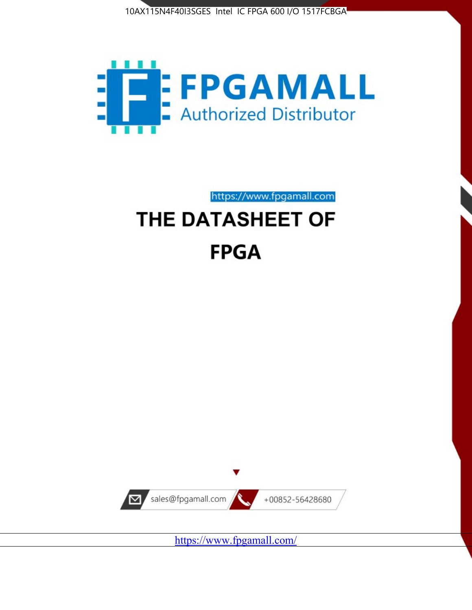



https://www.fpgamall.com

# THE DATASHEET OF **FPGA**



<https://www.fpgamall.com/>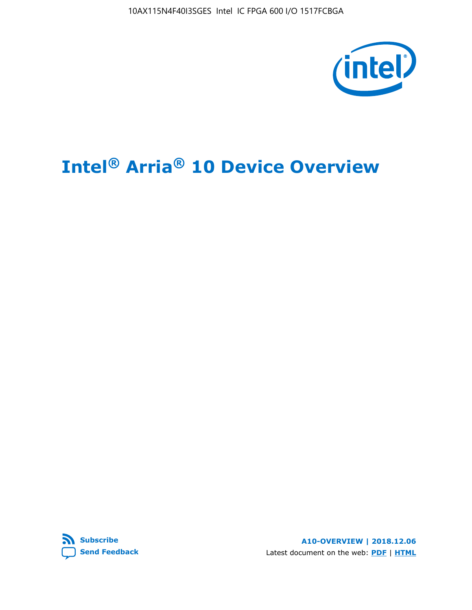10AX115N4F40I3SGES Intel IC FPGA 600 I/O 1517FCBGA



# **Intel® Arria® 10 Device Overview**



**A10-OVERVIEW | 2018.12.06** Latest document on the web: **[PDF](https://www.intel.com/content/dam/www/programmable/us/en/pdfs/literature/hb/arria-10/a10_overview.pdf)** | **[HTML](https://www.intel.com/content/www/us/en/programmable/documentation/sam1403480274650.html)**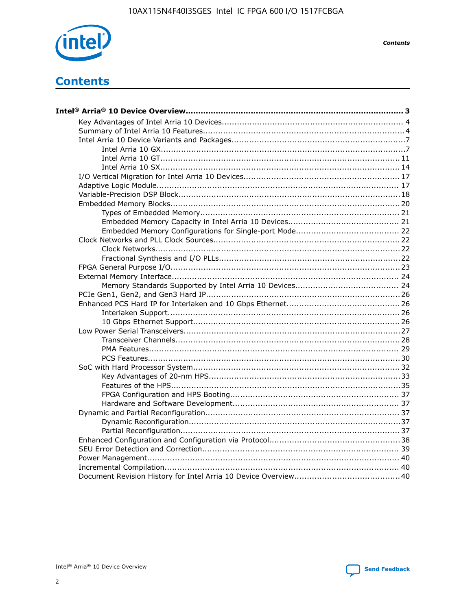

**Contents** 

# **Contents**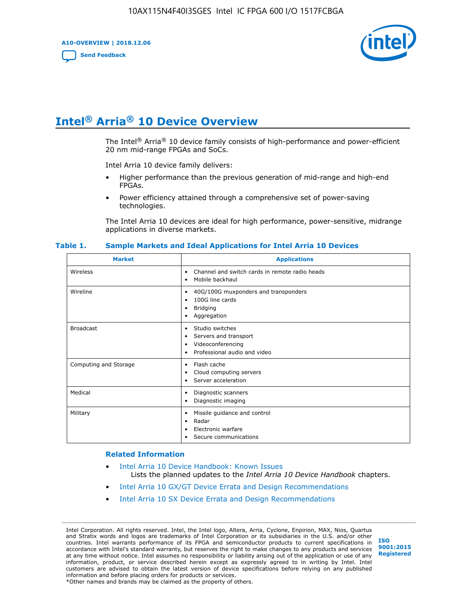**A10-OVERVIEW | 2018.12.06**

**[Send Feedback](mailto:FPGAtechdocfeedback@intel.com?subject=Feedback%20on%20Intel%20Arria%2010%20Device%20Overview%20(A10-OVERVIEW%202018.12.06)&body=We%20appreciate%20your%20feedback.%20In%20your%20comments,%20also%20specify%20the%20page%20number%20or%20paragraph.%20Thank%20you.)**



# **Intel® Arria® 10 Device Overview**

The Intel<sup>®</sup> Arria<sup>®</sup> 10 device family consists of high-performance and power-efficient 20 nm mid-range FPGAs and SoCs.

Intel Arria 10 device family delivers:

- Higher performance than the previous generation of mid-range and high-end FPGAs.
- Power efficiency attained through a comprehensive set of power-saving technologies.

The Intel Arria 10 devices are ideal for high performance, power-sensitive, midrange applications in diverse markets.

| <b>Market</b>         | <b>Applications</b>                                                                                               |
|-----------------------|-------------------------------------------------------------------------------------------------------------------|
| Wireless              | Channel and switch cards in remote radio heads<br>٠<br>Mobile backhaul<br>٠                                       |
| Wireline              | 40G/100G muxponders and transponders<br>٠<br>100G line cards<br>٠<br><b>Bridging</b><br>٠<br>Aggregation<br>٠     |
| <b>Broadcast</b>      | Studio switches<br>٠<br>Servers and transport<br>٠<br>Videoconferencing<br>٠<br>Professional audio and video<br>٠ |
| Computing and Storage | Flash cache<br>٠<br>Cloud computing servers<br>٠<br>Server acceleration<br>٠                                      |
| Medical               | Diagnostic scanners<br>٠<br>Diagnostic imaging<br>٠                                                               |
| Military              | Missile guidance and control<br>٠<br>Radar<br>٠<br>Electronic warfare<br>٠<br>Secure communications<br>٠          |

#### **Table 1. Sample Markets and Ideal Applications for Intel Arria 10 Devices**

#### **Related Information**

- [Intel Arria 10 Device Handbook: Known Issues](http://www.altera.com/support/kdb/solutions/rd07302013_646.html) Lists the planned updates to the *Intel Arria 10 Device Handbook* chapters.
- [Intel Arria 10 GX/GT Device Errata and Design Recommendations](https://www.intel.com/content/www/us/en/programmable/documentation/agz1493851706374.html#yqz1494433888646)
- [Intel Arria 10 SX Device Errata and Design Recommendations](https://www.intel.com/content/www/us/en/programmable/documentation/cru1462832385668.html#cru1462832558642)

Intel Corporation. All rights reserved. Intel, the Intel logo, Altera, Arria, Cyclone, Enpirion, MAX, Nios, Quartus and Stratix words and logos are trademarks of Intel Corporation or its subsidiaries in the U.S. and/or other countries. Intel warrants performance of its FPGA and semiconductor products to current specifications in accordance with Intel's standard warranty, but reserves the right to make changes to any products and services at any time without notice. Intel assumes no responsibility or liability arising out of the application or use of any information, product, or service described herein except as expressly agreed to in writing by Intel. Intel customers are advised to obtain the latest version of device specifications before relying on any published information and before placing orders for products or services. \*Other names and brands may be claimed as the property of others.

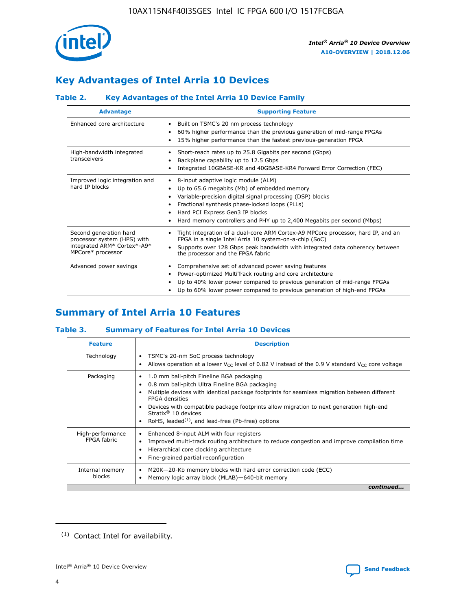

# **Key Advantages of Intel Arria 10 Devices**

# **Table 2. Key Advantages of the Intel Arria 10 Device Family**

| <b>Advantage</b>                                                                                          | <b>Supporting Feature</b>                                                                                                                                                                                                                                                                                                     |
|-----------------------------------------------------------------------------------------------------------|-------------------------------------------------------------------------------------------------------------------------------------------------------------------------------------------------------------------------------------------------------------------------------------------------------------------------------|
| Enhanced core architecture                                                                                | Built on TSMC's 20 nm process technology<br>٠<br>60% higher performance than the previous generation of mid-range FPGAs<br>٠<br>15% higher performance than the fastest previous-generation FPGA<br>٠                                                                                                                         |
| High-bandwidth integrated<br>transceivers                                                                 | Short-reach rates up to 25.8 Gigabits per second (Gbps)<br>٠<br>Backplane capability up to 12.5 Gbps<br>٠<br>Integrated 10GBASE-KR and 40GBASE-KR4 Forward Error Correction (FEC)<br>٠                                                                                                                                        |
| Improved logic integration and<br>hard IP blocks                                                          | 8-input adaptive logic module (ALM)<br>٠<br>Up to 65.6 megabits (Mb) of embedded memory<br>٠<br>Variable-precision digital signal processing (DSP) blocks<br>Fractional synthesis phase-locked loops (PLLs)<br>٠<br>Hard PCI Express Gen3 IP blocks<br>Hard memory controllers and PHY up to 2,400 Megabits per second (Mbps) |
| Second generation hard<br>processor system (HPS) with<br>integrated ARM* Cortex*-A9*<br>MPCore* processor | Tight integration of a dual-core ARM Cortex-A9 MPCore processor, hard IP, and an<br>٠<br>FPGA in a single Intel Arria 10 system-on-a-chip (SoC)<br>Supports over 128 Gbps peak bandwidth with integrated data coherency between<br>$\bullet$<br>the processor and the FPGA fabric                                             |
| Advanced power savings                                                                                    | Comprehensive set of advanced power saving features<br>٠<br>Power-optimized MultiTrack routing and core architecture<br>٠<br>Up to 40% lower power compared to previous generation of mid-range FPGAs<br>٠<br>Up to 60% lower power compared to previous generation of high-end FPGAs                                         |

# **Summary of Intel Arria 10 Features**

## **Table 3. Summary of Features for Intel Arria 10 Devices**

| <b>Feature</b>                  | <b>Description</b>                                                                                                                                                                                                                                                                                                                                                                                           |
|---------------------------------|--------------------------------------------------------------------------------------------------------------------------------------------------------------------------------------------------------------------------------------------------------------------------------------------------------------------------------------------------------------------------------------------------------------|
| Technology                      | TSMC's 20-nm SoC process technology<br>Allows operation at a lower $V_{\text{CC}}$ level of 0.82 V instead of the 0.9 V standard $V_{\text{CC}}$ core voltage                                                                                                                                                                                                                                                |
| Packaging                       | 1.0 mm ball-pitch Fineline BGA packaging<br>٠<br>0.8 mm ball-pitch Ultra Fineline BGA packaging<br>Multiple devices with identical package footprints for seamless migration between different<br><b>FPGA</b> densities<br>Devices with compatible package footprints allow migration to next generation high-end<br>Stratix <sup>®</sup> 10 devices<br>RoHS, leaded $(1)$ , and lead-free (Pb-free) options |
| High-performance<br>FPGA fabric | Enhanced 8-input ALM with four registers<br>Improved multi-track routing architecture to reduce congestion and improve compilation time<br>Hierarchical core clocking architecture<br>Fine-grained partial reconfiguration                                                                                                                                                                                   |
| Internal memory<br>blocks       | M20K-20-Kb memory blocks with hard error correction code (ECC)<br>Memory logic array block (MLAB)-640-bit memory                                                                                                                                                                                                                                                                                             |
|                                 | continued                                                                                                                                                                                                                                                                                                                                                                                                    |



<sup>(1)</sup> Contact Intel for availability.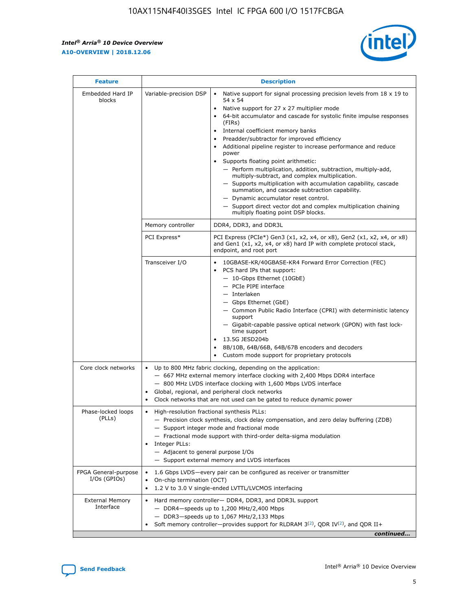$\mathsf{r}$ 



| <b>Feature</b>                         |                                                                                                                | <b>Description</b>                                                                                                                                                                                                                                                                                                                                                                                                                                                                                                                                                                                                                                                                                                                                                                                                                          |
|----------------------------------------|----------------------------------------------------------------------------------------------------------------|---------------------------------------------------------------------------------------------------------------------------------------------------------------------------------------------------------------------------------------------------------------------------------------------------------------------------------------------------------------------------------------------------------------------------------------------------------------------------------------------------------------------------------------------------------------------------------------------------------------------------------------------------------------------------------------------------------------------------------------------------------------------------------------------------------------------------------------------|
| Embedded Hard IP<br>blocks             | Variable-precision DSP                                                                                         | Native support for signal processing precision levels from $18 \times 19$ to<br>$\bullet$<br>54 x 54<br>Native support for 27 x 27 multiplier mode<br>64-bit accumulator and cascade for systolic finite impulse responses<br>(FIRs)<br>Internal coefficient memory banks<br>٠<br>Preadder/subtractor for improved efficiency<br>Additional pipeline register to increase performance and reduce<br>power<br>Supports floating point arithmetic:<br>- Perform multiplication, addition, subtraction, multiply-add,<br>multiply-subtract, and complex multiplication.<br>- Supports multiplication with accumulation capability, cascade<br>summation, and cascade subtraction capability.<br>- Dynamic accumulator reset control.<br>- Support direct vector dot and complex multiplication chaining<br>multiply floating point DSP blocks. |
|                                        | Memory controller                                                                                              | DDR4, DDR3, and DDR3L                                                                                                                                                                                                                                                                                                                                                                                                                                                                                                                                                                                                                                                                                                                                                                                                                       |
|                                        | PCI Express*                                                                                                   | PCI Express (PCIe*) Gen3 (x1, x2, x4, or x8), Gen2 (x1, x2, x4, or x8)<br>and Gen1 (x1, x2, x4, or x8) hard IP with complete protocol stack,<br>endpoint, and root port                                                                                                                                                                                                                                                                                                                                                                                                                                                                                                                                                                                                                                                                     |
|                                        | Transceiver I/O                                                                                                | 10GBASE-KR/40GBASE-KR4 Forward Error Correction (FEC)<br>PCS hard IPs that support:<br>- 10-Gbps Ethernet (10GbE)<br>- PCIe PIPE interface<br>- Interlaken<br>- Gbps Ethernet (GbE)<br>- Common Public Radio Interface (CPRI) with deterministic latency<br>support<br>- Gigabit-capable passive optical network (GPON) with fast lock-<br>time support<br>13.5G JESD204b<br>$\bullet$<br>8B/10B, 64B/66B, 64B/67B encoders and decoders<br>Custom mode support for proprietary protocols                                                                                                                                                                                                                                                                                                                                                   |
| Core clock networks                    | $\bullet$<br>$\bullet$                                                                                         | Up to 800 MHz fabric clocking, depending on the application:<br>- 667 MHz external memory interface clocking with 2,400 Mbps DDR4 interface<br>- 800 MHz LVDS interface clocking with 1,600 Mbps LVDS interface<br>Global, regional, and peripheral clock networks<br>Clock networks that are not used can be gated to reduce dynamic power                                                                                                                                                                                                                                                                                                                                                                                                                                                                                                 |
| Phase-locked loops<br>(PLLs)           | High-resolution fractional synthesis PLLs:<br>$\bullet$<br>Integer PLLs:<br>- Adjacent to general purpose I/Os | - Precision clock synthesis, clock delay compensation, and zero delay buffering (ZDB)<br>- Support integer mode and fractional mode<br>- Fractional mode support with third-order delta-sigma modulation<br>- Support external memory and LVDS interfaces                                                                                                                                                                                                                                                                                                                                                                                                                                                                                                                                                                                   |
| FPGA General-purpose<br>$I/Os$ (GPIOs) | On-chip termination (OCT)<br>$\bullet$                                                                         | 1.6 Gbps LVDS-every pair can be configured as receiver or transmitter<br>1.2 V to 3.0 V single-ended LVTTL/LVCMOS interfacing                                                                                                                                                                                                                                                                                                                                                                                                                                                                                                                                                                                                                                                                                                               |
| <b>External Memory</b><br>Interface    |                                                                                                                | Hard memory controller- DDR4, DDR3, and DDR3L support<br>$-$ DDR4 $-$ speeds up to 1,200 MHz/2,400 Mbps<br>- DDR3-speeds up to 1,067 MHz/2,133 Mbps<br>Soft memory controller—provides support for RLDRAM $3^{(2)}$ , QDR IV $(2^2)$ , and QDR II+<br>continued                                                                                                                                                                                                                                                                                                                                                                                                                                                                                                                                                                             |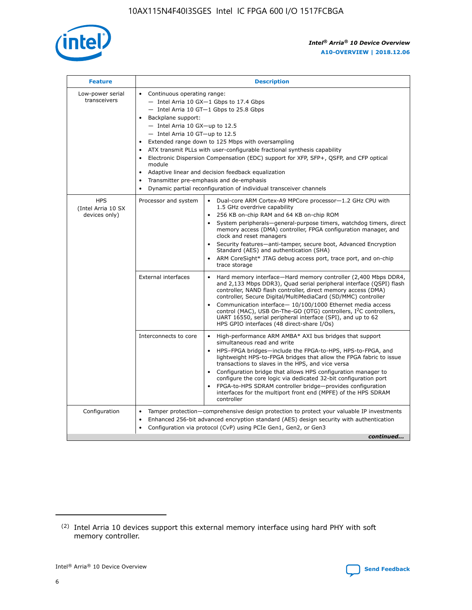

| <b>Feature</b>                                    | <b>Description</b>                                                                                                                                                                                                                                                                                                                                                                                                                                                                                                                                                                                                                             |  |  |  |  |  |  |  |  |
|---------------------------------------------------|------------------------------------------------------------------------------------------------------------------------------------------------------------------------------------------------------------------------------------------------------------------------------------------------------------------------------------------------------------------------------------------------------------------------------------------------------------------------------------------------------------------------------------------------------------------------------------------------------------------------------------------------|--|--|--|--|--|--|--|--|
| Low-power serial<br>transceivers                  | • Continuous operating range:<br>- Intel Arria 10 GX-1 Gbps to 17.4 Gbps<br>- Intel Arria 10 GT-1 Gbps to 25.8 Gbps<br>Backplane support:<br>$-$ Intel Arria 10 GX-up to 12.5<br>$-$ Intel Arria 10 GT-up to 12.5<br>Extended range down to 125 Mbps with oversampling<br>ATX transmit PLLs with user-configurable fractional synthesis capability<br>• Electronic Dispersion Compensation (EDC) support for XFP, SFP+, QSFP, and CFP optical<br>module<br>• Adaptive linear and decision feedback equalization<br>Transmitter pre-emphasis and de-emphasis<br>$\bullet$<br>Dynamic partial reconfiguration of individual transceiver channels |  |  |  |  |  |  |  |  |
| <b>HPS</b><br>(Intel Arria 10 SX<br>devices only) | Processor and system<br>Dual-core ARM Cortex-A9 MPCore processor-1.2 GHz CPU with<br>$\bullet$<br>1.5 GHz overdrive capability<br>256 KB on-chip RAM and 64 KB on-chip ROM<br>$\bullet$<br>System peripherals-general-purpose timers, watchdog timers, direct<br>memory access (DMA) controller, FPGA configuration manager, and<br>clock and reset managers<br>• Security features—anti-tamper, secure boot, Advanced Encryption<br>Standard (AES) and authentication (SHA)<br>ARM CoreSight* JTAG debug access port, trace port, and on-chip<br>trace storage                                                                                |  |  |  |  |  |  |  |  |
|                                                   | <b>External interfaces</b><br>Hard memory interface—Hard memory controller (2,400 Mbps DDR4,<br>$\bullet$<br>and 2,133 Mbps DDR3), Quad serial peripheral interface (QSPI) flash<br>controller, NAND flash controller, direct memory access (DMA)<br>controller, Secure Digital/MultiMediaCard (SD/MMC) controller<br>Communication interface-10/100/1000 Ethernet media access<br>control (MAC), USB On-The-GO (OTG) controllers, I <sup>2</sup> C controllers,<br>UART 16550, serial peripheral interface (SPI), and up to 62<br>HPS GPIO interfaces (48 direct-share I/Os)                                                                  |  |  |  |  |  |  |  |  |
|                                                   | High-performance ARM AMBA* AXI bus bridges that support<br>Interconnects to core<br>$\bullet$<br>simultaneous read and write<br>HPS-FPGA bridges—include the FPGA-to-HPS, HPS-to-FPGA, and<br>$\bullet$<br>lightweight HPS-to-FPGA bridges that allow the FPGA fabric to issue<br>transactions to slaves in the HPS, and vice versa<br>Configuration bridge that allows HPS configuration manager to<br>configure the core logic via dedicated 32-bit configuration port<br>FPGA-to-HPS SDRAM controller bridge-provides configuration<br>interfaces for the multiport front end (MPFE) of the HPS SDRAM<br>controller                         |  |  |  |  |  |  |  |  |
| Configuration                                     | Tamper protection—comprehensive design protection to protect your valuable IP investments<br>Enhanced 256-bit advanced encryption standard (AES) design security with authentication<br>$\bullet$<br>Configuration via protocol (CvP) using PCIe Gen1, Gen2, or Gen3<br>continued                                                                                                                                                                                                                                                                                                                                                              |  |  |  |  |  |  |  |  |

<sup>(2)</sup> Intel Arria 10 devices support this external memory interface using hard PHY with soft memory controller.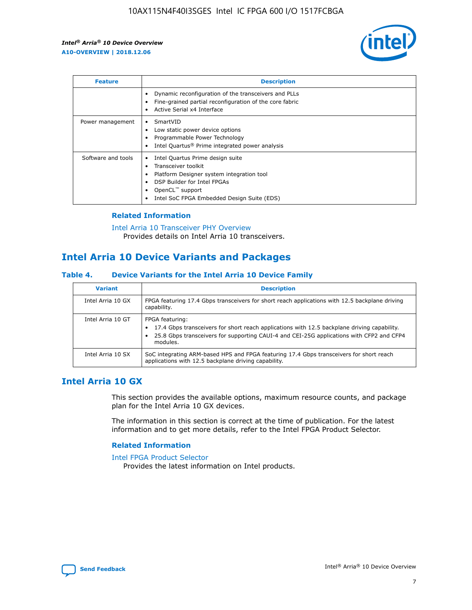

| <b>Feature</b>     | <b>Description</b>                                                                                                                                                                                                    |
|--------------------|-----------------------------------------------------------------------------------------------------------------------------------------------------------------------------------------------------------------------|
|                    | Dynamic reconfiguration of the transceivers and PLLs<br>Fine-grained partial reconfiguration of the core fabric<br>Active Serial x4 Interface                                                                         |
| Power management   | SmartVID<br>Low static power device options<br>Programmable Power Technology<br>Intel Quartus <sup>®</sup> Prime integrated power analysis                                                                            |
| Software and tools | Intel Quartus Prime design suite<br>Transceiver toolkit<br>٠<br>Platform Designer system integration tool<br>DSP Builder for Intel FPGAs<br>OpenCL <sup>™</sup> support<br>Intel SoC FPGA Embedded Design Suite (EDS) |

## **Related Information**

[Intel Arria 10 Transceiver PHY Overview](https://www.intel.com/content/www/us/en/programmable/documentation/nik1398707230472.html#nik1398706768037) Provides details on Intel Arria 10 transceivers.

# **Intel Arria 10 Device Variants and Packages**

#### **Table 4. Device Variants for the Intel Arria 10 Device Family**

| <b>Variant</b>    | <b>Description</b>                                                                                                                                                                                                     |
|-------------------|------------------------------------------------------------------------------------------------------------------------------------------------------------------------------------------------------------------------|
| Intel Arria 10 GX | FPGA featuring 17.4 Gbps transceivers for short reach applications with 12.5 backplane driving<br>capability.                                                                                                          |
| Intel Arria 10 GT | FPGA featuring:<br>17.4 Gbps transceivers for short reach applications with 12.5 backplane driving capability.<br>25.8 Gbps transceivers for supporting CAUI-4 and CEI-25G applications with CFP2 and CFP4<br>modules. |
| Intel Arria 10 SX | SoC integrating ARM-based HPS and FPGA featuring 17.4 Gbps transceivers for short reach<br>applications with 12.5 backplane driving capability.                                                                        |

# **Intel Arria 10 GX**

This section provides the available options, maximum resource counts, and package plan for the Intel Arria 10 GX devices.

The information in this section is correct at the time of publication. For the latest information and to get more details, refer to the Intel FPGA Product Selector.

#### **Related Information**

#### [Intel FPGA Product Selector](http://www.altera.com/products/selector/psg-selector.html) Provides the latest information on Intel products.

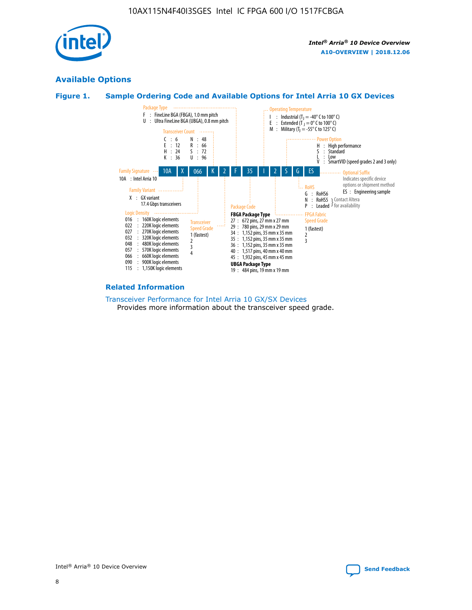

# **Available Options**





#### **Related Information**

[Transceiver Performance for Intel Arria 10 GX/SX Devices](https://www.intel.com/content/www/us/en/programmable/documentation/mcn1413182292568.html#mcn1413213965502) Provides more information about the transceiver speed grade.

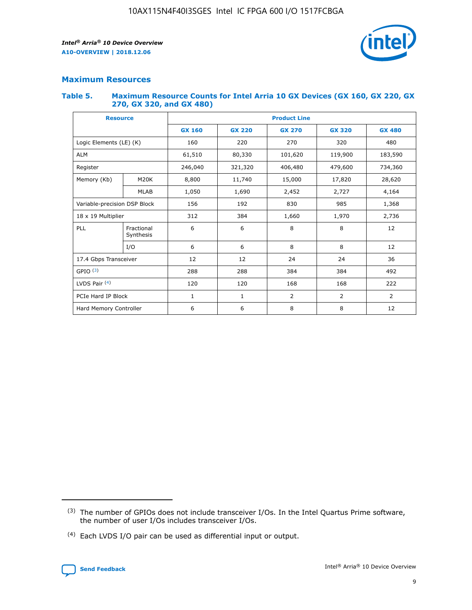

## **Maximum Resources**

#### **Table 5. Maximum Resource Counts for Intel Arria 10 GX Devices (GX 160, GX 220, GX 270, GX 320, and GX 480)**

| <b>Resource</b>              |                         | <b>Product Line</b> |                                                 |                    |                |                |  |  |  |
|------------------------------|-------------------------|---------------------|-------------------------------------------------|--------------------|----------------|----------------|--|--|--|
|                              |                         | <b>GX 160</b>       | <b>GX 220</b><br><b>GX 270</b><br><b>GX 320</b> |                    |                | <b>GX 480</b>  |  |  |  |
| Logic Elements (LE) (K)      |                         | 160                 | 220<br>320<br>270                               |                    |                | 480            |  |  |  |
| <b>ALM</b>                   |                         | 61,510              | 80,330                                          | 101,620            | 119,900        | 183,590        |  |  |  |
| Register                     |                         | 246,040             | 321,320                                         | 406,480<br>479,600 |                | 734,360        |  |  |  |
| Memory (Kb)                  | M <sub>20</sub> K       | 8,800               | 11,740                                          | 15,000             | 17,820         | 28,620         |  |  |  |
|                              | <b>MLAB</b>             | 1,050               | 1,690<br>2,452<br>2,727                         |                    |                | 4,164          |  |  |  |
| Variable-precision DSP Block |                         | 156                 | 192                                             | 985<br>830         |                | 1,368          |  |  |  |
| 18 x 19 Multiplier           |                         | 312                 | 384                                             | 1,660<br>1,970     |                | 2,736          |  |  |  |
| PLL                          | Fractional<br>Synthesis | 6                   | 6                                               | 8                  | 8              | 12             |  |  |  |
|                              | I/O                     | 6                   | 6                                               | 8                  | 8              | 12             |  |  |  |
| 17.4 Gbps Transceiver        |                         | 12                  | 12                                              | 24                 | 24             | 36             |  |  |  |
| GPIO <sup>(3)</sup>          |                         | 288                 | 288                                             | 384                | 384            | 492            |  |  |  |
| LVDS Pair $(4)$              |                         | 120                 | 120                                             | 168                | 168            | 222            |  |  |  |
| PCIe Hard IP Block           |                         | $\mathbf{1}$        | 1                                               | $\overline{2}$     | $\overline{2}$ | $\overline{2}$ |  |  |  |
| Hard Memory Controller       |                         | 6                   | 6                                               | 8                  | 8              |                |  |  |  |

<sup>(4)</sup> Each LVDS I/O pair can be used as differential input or output.



<sup>(3)</sup> The number of GPIOs does not include transceiver I/Os. In the Intel Quartus Prime software, the number of user I/Os includes transceiver I/Os.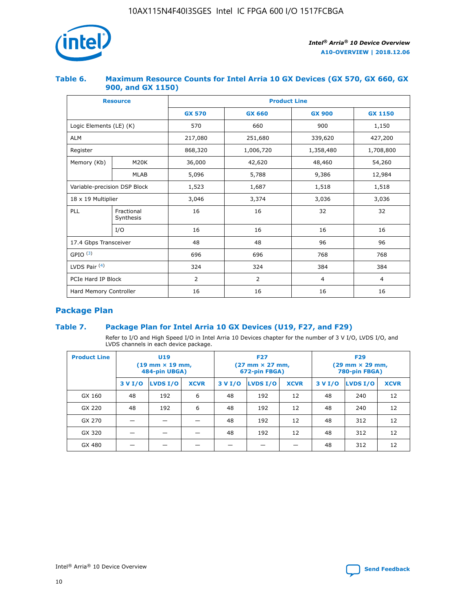

## **Table 6. Maximum Resource Counts for Intel Arria 10 GX Devices (GX 570, GX 660, GX 900, and GX 1150)**

|                              | <b>Resource</b>         | <b>Product Line</b> |                |                |                |  |  |  |
|------------------------------|-------------------------|---------------------|----------------|----------------|----------------|--|--|--|
|                              |                         | <b>GX 570</b>       | <b>GX 660</b>  | <b>GX 900</b>  | <b>GX 1150</b> |  |  |  |
| Logic Elements (LE) (K)      |                         | 570                 | 660            | 900            | 1,150          |  |  |  |
| <b>ALM</b>                   |                         | 217,080             | 251,680        | 339,620        | 427,200        |  |  |  |
| Register                     |                         | 868,320             | 1,006,720      |                | 1,708,800      |  |  |  |
| Memory (Kb)                  | M <sub>20</sub> K       | 36,000              | 42,620         | 48,460         | 54,260         |  |  |  |
|                              | <b>MLAB</b>             | 5,096               | 5,788          | 9,386          | 12,984         |  |  |  |
| Variable-precision DSP Block |                         | 1,523               | 1,687          | 1,518          | 1,518          |  |  |  |
| 18 x 19 Multiplier           |                         | 3,046               | 3,374<br>3,036 |                | 3,036          |  |  |  |
| PLL                          | Fractional<br>Synthesis | 16                  | 16             | 32             | 32             |  |  |  |
|                              | I/O                     | 16                  | 16             | 16             | 16             |  |  |  |
| 17.4 Gbps Transceiver        |                         | 48                  | 48             | 96             | 96             |  |  |  |
| GPIO <sup>(3)</sup>          |                         | 696                 | 696            | 768            | 768            |  |  |  |
| LVDS Pair $(4)$              |                         | 324                 | 324            | 384            | 384            |  |  |  |
| PCIe Hard IP Block           |                         | $\overline{2}$      | $\overline{2}$ | $\overline{4}$ | 4              |  |  |  |
| Hard Memory Controller       |                         | 16                  | 16             | 16             | 16             |  |  |  |

# **Package Plan**

## **Table 7. Package Plan for Intel Arria 10 GX Devices (U19, F27, and F29)**

Refer to I/O and High Speed I/O in Intel Arria 10 Devices chapter for the number of 3 V I/O, LVDS I/O, and LVDS channels in each device package.

| <b>Product Line</b> | U <sub>19</sub><br>$(19 \text{ mm} \times 19 \text{ mm})$<br>484-pin UBGA) |          |             |         | <b>F27</b><br>(27 mm × 27 mm,<br>672-pin FBGA) |             | <b>F29</b><br>(29 mm × 29 mm,<br>780-pin FBGA) |          |             |  |
|---------------------|----------------------------------------------------------------------------|----------|-------------|---------|------------------------------------------------|-------------|------------------------------------------------|----------|-------------|--|
|                     | 3 V I/O                                                                    | LVDS I/O | <b>XCVR</b> | 3 V I/O | LVDS I/O                                       | <b>XCVR</b> | 3 V I/O                                        | LVDS I/O | <b>XCVR</b> |  |
| GX 160              | 48                                                                         | 192      | 6           | 48      | 192                                            | 12          | 48                                             | 240      | 12          |  |
| GX 220              | 48                                                                         | 192      | 6           | 48      | 192                                            | 12          | 48                                             | 240      | 12          |  |
| GX 270              |                                                                            |          |             | 48      | 192                                            | 12          | 48                                             | 312      | 12          |  |
| GX 320              |                                                                            |          |             | 48      | 192                                            | 12          | 48                                             | 312      | 12          |  |
| GX 480              |                                                                            |          |             |         |                                                |             | 48                                             | 312      | 12          |  |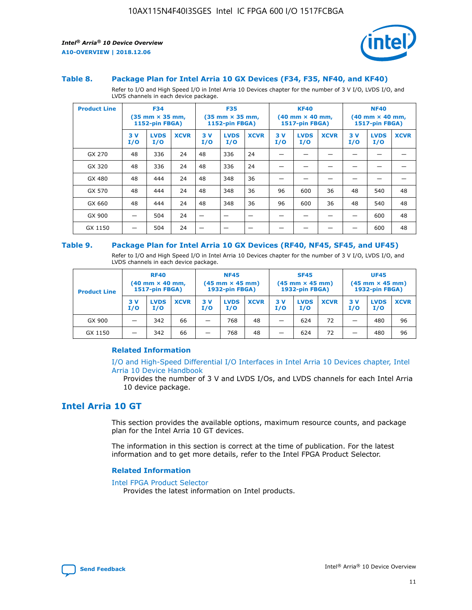

#### **Table 8. Package Plan for Intel Arria 10 GX Devices (F34, F35, NF40, and KF40)**

Refer to I/O and High Speed I/O in Intel Arria 10 Devices chapter for the number of 3 V I/O, LVDS I/O, and LVDS channels in each device package.

| <b>Product Line</b> | <b>F34</b><br>$(35 \text{ mm} \times 35 \text{ mm})$<br>1152-pin FBGA) |                    | <b>F35</b><br>$(35 \text{ mm} \times 35 \text{ mm})$<br><b>1152-pin FBGA)</b> |           | <b>KF40</b><br>$(40$ mm $\times$ 40 mm,<br>1517-pin FBGA) |             |           | <b>NF40</b><br>$(40$ mm $\times$ 40 mm,<br><b>1517-pin FBGA)</b> |             |            |                    |             |
|---------------------|------------------------------------------------------------------------|--------------------|-------------------------------------------------------------------------------|-----------|-----------------------------------------------------------|-------------|-----------|------------------------------------------------------------------|-------------|------------|--------------------|-------------|
|                     | 3V<br>I/O                                                              | <b>LVDS</b><br>I/O | <b>XCVR</b>                                                                   | 3V<br>I/O | <b>LVDS</b><br>I/O                                        | <b>XCVR</b> | 3V<br>I/O | <b>LVDS</b><br>I/O                                               | <b>XCVR</b> | 3 V<br>I/O | <b>LVDS</b><br>I/O | <b>XCVR</b> |
| GX 270              | 48                                                                     | 336                | 24                                                                            | 48        | 336                                                       | 24          |           |                                                                  |             |            |                    |             |
| GX 320              | 48                                                                     | 336                | 24                                                                            | 48        | 336                                                       | 24          |           |                                                                  |             |            |                    |             |
| GX 480              | 48                                                                     | 444                | 24                                                                            | 48        | 348                                                       | 36          |           |                                                                  |             |            |                    |             |
| GX 570              | 48                                                                     | 444                | 24                                                                            | 48        | 348                                                       | 36          | 96        | 600                                                              | 36          | 48         | 540                | 48          |
| GX 660              | 48                                                                     | 444                | 24                                                                            | 48        | 348                                                       | 36          | 96        | 600                                                              | 36          | 48         | 540                | 48          |
| GX 900              |                                                                        | 504                | 24                                                                            | –         |                                                           |             |           |                                                                  |             |            | 600                | 48          |
| GX 1150             |                                                                        | 504                | 24                                                                            |           |                                                           |             |           |                                                                  |             |            | 600                | 48          |

#### **Table 9. Package Plan for Intel Arria 10 GX Devices (RF40, NF45, SF45, and UF45)**

Refer to I/O and High Speed I/O in Intel Arria 10 Devices chapter for the number of 3 V I/O, LVDS I/O, and LVDS channels in each device package.

| <b>Product Line</b> | <b>RF40</b><br>$(40 \text{ mm} \times 40 \text{ mm})$<br>1517-pin FBGA) |                    | <b>NF45</b><br>$(45 \text{ mm} \times 45 \text{ mm})$<br><b>1932-pin FBGA)</b> |            |                    | <b>SF45</b><br>$(45 \text{ mm} \times 45 \text{ mm})$<br><b>1932-pin FBGA)</b> |            |                    | <b>UF45</b><br>$(45 \text{ mm} \times 45 \text{ mm})$<br>1932-pin FBGA) |           |                    |             |
|---------------------|-------------------------------------------------------------------------|--------------------|--------------------------------------------------------------------------------|------------|--------------------|--------------------------------------------------------------------------------|------------|--------------------|-------------------------------------------------------------------------|-----------|--------------------|-------------|
|                     | 3V<br>I/O                                                               | <b>LVDS</b><br>I/O | <b>XCVR</b>                                                                    | 3 V<br>I/O | <b>LVDS</b><br>I/O | <b>XCVR</b>                                                                    | 3 V<br>I/O | <b>LVDS</b><br>I/O | <b>XCVR</b>                                                             | 3V<br>I/O | <b>LVDS</b><br>I/O | <b>XCVR</b> |
| GX 900              |                                                                         | 342                | 66                                                                             | _          | 768                | 48                                                                             |            | 624                | 72                                                                      |           | 480                | 96          |
| GX 1150             |                                                                         | 342                | 66                                                                             | -          | 768                | 48                                                                             |            | 624                | 72                                                                      |           | 480                | 96          |

### **Related Information**

[I/O and High-Speed Differential I/O Interfaces in Intel Arria 10 Devices chapter, Intel](https://www.intel.com/content/www/us/en/programmable/documentation/sam1403482614086.html#sam1403482030321) [Arria 10 Device Handbook](https://www.intel.com/content/www/us/en/programmable/documentation/sam1403482614086.html#sam1403482030321)

Provides the number of 3 V and LVDS I/Os, and LVDS channels for each Intel Arria 10 device package.

# **Intel Arria 10 GT**

This section provides the available options, maximum resource counts, and package plan for the Intel Arria 10 GT devices.

The information in this section is correct at the time of publication. For the latest information and to get more details, refer to the Intel FPGA Product Selector.

#### **Related Information**

#### [Intel FPGA Product Selector](http://www.altera.com/products/selector/psg-selector.html)

Provides the latest information on Intel products.

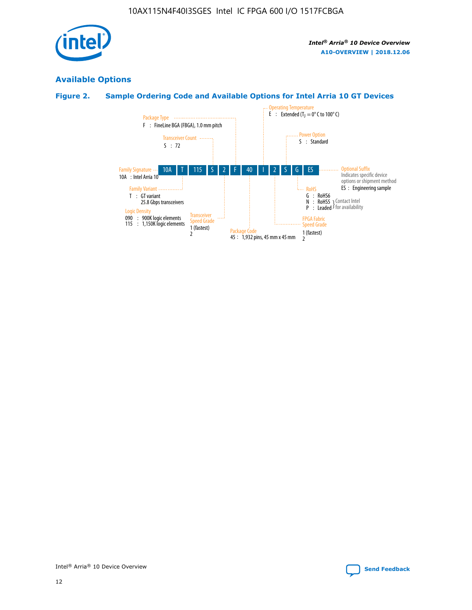

# **Available Options**

# **Figure 2. Sample Ordering Code and Available Options for Intel Arria 10 GT Devices**

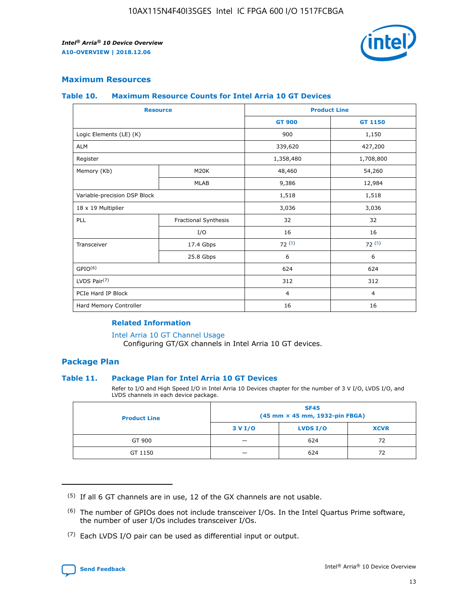

## **Maximum Resources**

#### **Table 10. Maximum Resource Counts for Intel Arria 10 GT Devices**

|                              | <b>Resource</b>      | <b>Product Line</b> |                |  |
|------------------------------|----------------------|---------------------|----------------|--|
|                              |                      | <b>GT 900</b>       | GT 1150        |  |
| Logic Elements (LE) (K)      |                      | 900                 | 1,150          |  |
| <b>ALM</b>                   |                      | 339,620             | 427,200        |  |
| Register                     |                      | 1,358,480           | 1,708,800      |  |
| Memory (Kb)                  | M20K                 | 48,460              | 54,260         |  |
|                              | <b>MLAB</b>          | 9,386               | 12,984         |  |
| Variable-precision DSP Block |                      | 1,518               | 1,518          |  |
| 18 x 19 Multiplier           |                      | 3,036               | 3,036          |  |
| <b>PLL</b>                   | Fractional Synthesis | 32                  | 32             |  |
|                              | I/O                  | 16                  | 16             |  |
| Transceiver                  | 17.4 Gbps            | 72(5)               | 72(5)          |  |
|                              | 25.8 Gbps            | 6                   | 6              |  |
| GPIO <sup>(6)</sup>          |                      | 624                 | 624            |  |
| LVDS Pair $(7)$              |                      | 312                 | 312            |  |
| PCIe Hard IP Block           |                      | $\overline{4}$      | $\overline{4}$ |  |
| Hard Memory Controller       |                      | 16                  | 16             |  |

### **Related Information**

#### [Intel Arria 10 GT Channel Usage](https://www.intel.com/content/www/us/en/programmable/documentation/nik1398707230472.html#nik1398707008178)

Configuring GT/GX channels in Intel Arria 10 GT devices.

## **Package Plan**

### **Table 11. Package Plan for Intel Arria 10 GT Devices**

Refer to I/O and High Speed I/O in Intel Arria 10 Devices chapter for the number of 3 V I/O, LVDS I/O, and LVDS channels in each device package.

| <b>Product Line</b> | <b>SF45</b><br>(45 mm × 45 mm, 1932-pin FBGA) |                 |             |  |  |  |
|---------------------|-----------------------------------------------|-----------------|-------------|--|--|--|
|                     | 3 V I/O                                       | <b>LVDS I/O</b> | <b>XCVR</b> |  |  |  |
| GT 900              |                                               | 624             | 72          |  |  |  |
| GT 1150             |                                               | 624             | 72          |  |  |  |

<sup>(7)</sup> Each LVDS I/O pair can be used as differential input or output.



 $(5)$  If all 6 GT channels are in use, 12 of the GX channels are not usable.

<sup>(6)</sup> The number of GPIOs does not include transceiver I/Os. In the Intel Quartus Prime software, the number of user I/Os includes transceiver I/Os.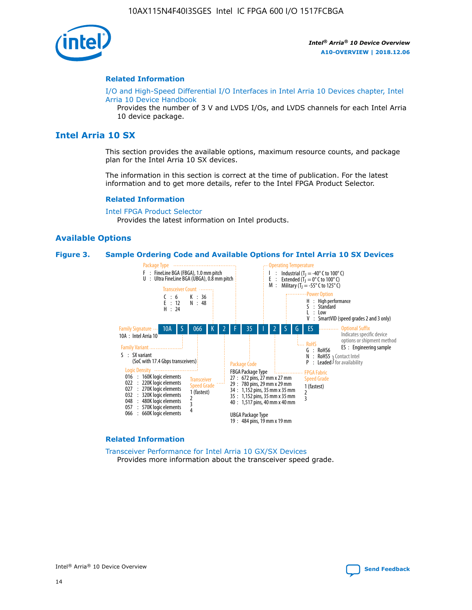

#### **Related Information**

[I/O and High-Speed Differential I/O Interfaces in Intel Arria 10 Devices chapter, Intel](https://www.intel.com/content/www/us/en/programmable/documentation/sam1403482614086.html#sam1403482030321) [Arria 10 Device Handbook](https://www.intel.com/content/www/us/en/programmable/documentation/sam1403482614086.html#sam1403482030321)

Provides the number of 3 V and LVDS I/Os, and LVDS channels for each Intel Arria 10 device package.

# **Intel Arria 10 SX**

This section provides the available options, maximum resource counts, and package plan for the Intel Arria 10 SX devices.

The information in this section is correct at the time of publication. For the latest information and to get more details, refer to the Intel FPGA Product Selector.

#### **Related Information**

[Intel FPGA Product Selector](http://www.altera.com/products/selector/psg-selector.html) Provides the latest information on Intel products.

## **Available Options**

#### **Figure 3. Sample Ordering Code and Available Options for Intel Arria 10 SX Devices**



#### **Related Information**

[Transceiver Performance for Intel Arria 10 GX/SX Devices](https://www.intel.com/content/www/us/en/programmable/documentation/mcn1413182292568.html#mcn1413213965502) Provides more information about the transceiver speed grade.

Intel<sup>®</sup> Arria<sup>®</sup> 10 Device Overview [Send Feedback](mailto:FPGAtechdocfeedback@intel.com?subject=Feedback%20on%20Intel%20Arria%2010%20Device%20Overview%20(A10-OVERVIEW%202018.12.06)&body=We%20appreciate%20your%20feedback.%20In%20your%20comments,%20also%20specify%20the%20page%20number%20or%20paragraph.%20Thank%20you.)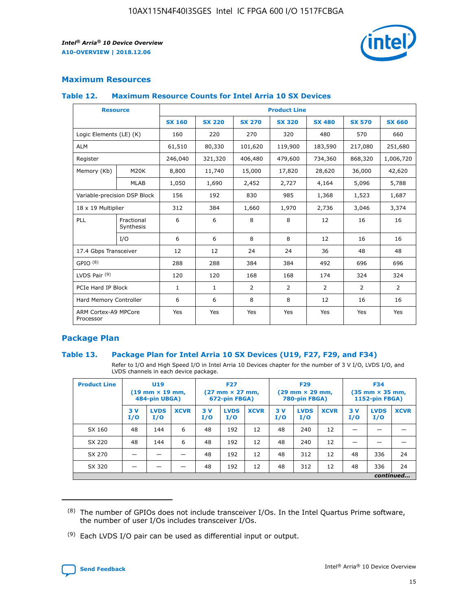

## **Maximum Resources**

#### **Table 12. Maximum Resource Counts for Intel Arria 10 SX Devices**

|                                   | <b>Resource</b>         | <b>Product Line</b> |               |                |                |                |                |                |  |  |  |
|-----------------------------------|-------------------------|---------------------|---------------|----------------|----------------|----------------|----------------|----------------|--|--|--|
|                                   |                         | <b>SX 160</b>       | <b>SX 220</b> | <b>SX 270</b>  | <b>SX 320</b>  | <b>SX 480</b>  | <b>SX 570</b>  | <b>SX 660</b>  |  |  |  |
| Logic Elements (LE) (K)           |                         | 160                 | 220           | 270            | 320            | 480            | 570            | 660            |  |  |  |
| <b>ALM</b>                        |                         | 61,510              | 80,330        | 101,620        | 119,900        | 183,590        | 217,080        | 251,680        |  |  |  |
| Register                          |                         | 246,040             | 321,320       | 406,480        | 479,600        | 734,360        | 868,320        | 1,006,720      |  |  |  |
| Memory (Kb)                       | M <sub>20</sub> K       | 8,800               | 11,740        | 15,000         | 17,820         | 28,620         | 36,000         | 42,620         |  |  |  |
|                                   | <b>MLAB</b>             | 1,050               | 1,690         | 2,452          | 2,727          | 4,164          | 5,096          | 5,788          |  |  |  |
| Variable-precision DSP Block      |                         | 156                 | 192           | 830            | 985            | 1,368          | 1,523          | 1,687          |  |  |  |
|                                   | 18 x 19 Multiplier      |                     | 384           | 1,660          | 1,970          | 2,736          | 3,046          | 3,374          |  |  |  |
| <b>PLL</b>                        | Fractional<br>Synthesis | 6                   | 6             | 8              | 8              | 12             | 16             | 16             |  |  |  |
|                                   | I/O                     | 6                   | 6             | 8              | 8              | 12             | 16             | 16             |  |  |  |
| 17.4 Gbps Transceiver             |                         | 12                  | 12            | 24             | 24             | 36             | 48             | 48             |  |  |  |
| GPIO <sup>(8)</sup>               |                         | 288                 | 288           | 384            | 384            | 492            | 696            | 696            |  |  |  |
| LVDS Pair $(9)$                   |                         | 120                 | 120           | 168            | 168            | 174            | 324            | 324            |  |  |  |
| PCIe Hard IP Block                |                         | $\mathbf{1}$        | $\mathbf{1}$  | $\overline{2}$ | $\overline{2}$ | $\overline{2}$ | $\overline{2}$ | $\overline{2}$ |  |  |  |
| Hard Memory Controller            |                         | 6                   | 6             | 8              | 8              | 12             | 16             | 16             |  |  |  |
| ARM Cortex-A9 MPCore<br>Processor |                         | Yes                 | Yes           | Yes            | Yes            | Yes            | Yes            | Yes            |  |  |  |

## **Package Plan**

### **Table 13. Package Plan for Intel Arria 10 SX Devices (U19, F27, F29, and F34)**

Refer to I/O and High Speed I/O in Intel Arria 10 Devices chapter for the number of 3 V I/O, LVDS I/O, and LVDS channels in each device package.

| <b>Product Line</b> | <b>U19</b><br>$(19 \text{ mm} \times 19 \text{ mm})$<br>484-pin UBGA) |                    |             | <b>F27</b><br>$(27 \text{ mm} \times 27 \text{ mm})$<br>672-pin FBGA) |                    | <b>F29</b><br>$(29 \text{ mm} \times 29 \text{ mm})$<br>780-pin FBGA) |           |                    | <b>F34</b><br>$(35 \text{ mm} \times 35 \text{ mm})$<br><b>1152-pin FBGA)</b> |           |                    |             |
|---------------------|-----------------------------------------------------------------------|--------------------|-------------|-----------------------------------------------------------------------|--------------------|-----------------------------------------------------------------------|-----------|--------------------|-------------------------------------------------------------------------------|-----------|--------------------|-------------|
|                     | 3V<br>I/O                                                             | <b>LVDS</b><br>I/O | <b>XCVR</b> | 3V<br>I/O                                                             | <b>LVDS</b><br>I/O | <b>XCVR</b>                                                           | 3V<br>I/O | <b>LVDS</b><br>I/O | <b>XCVR</b>                                                                   | 3V<br>I/O | <b>LVDS</b><br>I/O | <b>XCVR</b> |
| SX 160              | 48                                                                    | 144                | 6           | 48                                                                    | 192                | 12                                                                    | 48        | 240                | 12                                                                            | -         |                    |             |
| SX 220              | 48                                                                    | 144                | 6           | 48                                                                    | 192                | 12                                                                    | 48        | 240                | 12                                                                            |           |                    |             |
| SX 270              |                                                                       |                    |             | 48                                                                    | 192                | 12                                                                    | 48        | 312                | 12                                                                            | 48        | 336                | 24          |
| SX 320              |                                                                       |                    |             | 48                                                                    | 192                | 12                                                                    | 48        | 312                | 12                                                                            | 48        | 336                | 24          |
|                     | continued                                                             |                    |             |                                                                       |                    |                                                                       |           |                    |                                                                               |           |                    |             |

 $(8)$  The number of GPIOs does not include transceiver I/Os. In the Intel Quartus Prime software, the number of user I/Os includes transceiver I/Os.

 $(9)$  Each LVDS I/O pair can be used as differential input or output.

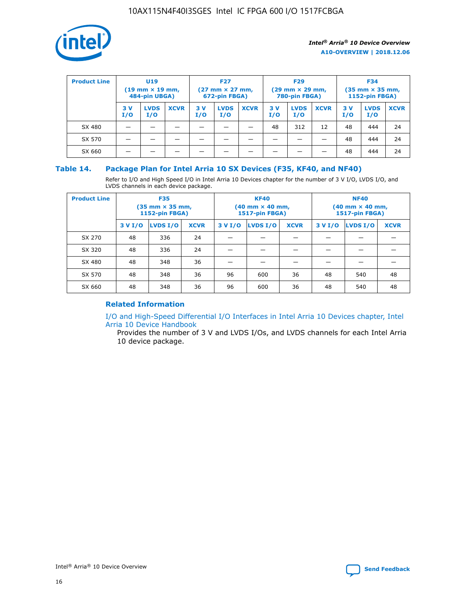

| <b>Product Line</b> | U <sub>19</sub><br>$(19 \text{ mm} \times 19 \text{ mm})$<br>484-pin UBGA) |                    | <b>F27</b><br>$(27 \text{ mm} \times 27 \text{ mm})$<br>672-pin FBGA) |           |                    | <b>F29</b><br>$(29$ mm $\times$ 29 mm,<br>780-pin FBGA) |           |                    | <b>F34</b><br>$(35$ mm $\times$ 35 mm,<br><b>1152-pin FBGA)</b> |           |                    |             |
|---------------------|----------------------------------------------------------------------------|--------------------|-----------------------------------------------------------------------|-----------|--------------------|---------------------------------------------------------|-----------|--------------------|-----------------------------------------------------------------|-----------|--------------------|-------------|
|                     | 3V<br>I/O                                                                  | <b>LVDS</b><br>I/O | <b>XCVR</b>                                                           | 3V<br>I/O | <b>LVDS</b><br>I/O | <b>XCVR</b>                                             | 3V<br>I/O | <b>LVDS</b><br>I/O | <b>XCVR</b>                                                     | 3V<br>I/O | <b>LVDS</b><br>I/O | <b>XCVR</b> |
| SX 480              |                                                                            |                    |                                                                       |           |                    |                                                         | 48        | 312                | 12                                                              | 48        | 444                | 24          |
| SX 570              |                                                                            |                    |                                                                       |           |                    |                                                         |           |                    |                                                                 | 48        | 444                | 24          |
| SX 660              |                                                                            |                    |                                                                       |           |                    |                                                         |           |                    |                                                                 | 48        | 444                | 24          |

## **Table 14. Package Plan for Intel Arria 10 SX Devices (F35, KF40, and NF40)**

Refer to I/O and High Speed I/O in Intel Arria 10 Devices chapter for the number of 3 V I/O, LVDS I/O, and LVDS channels in each device package.

| <b>Product Line</b> | <b>F35</b><br>(35 mm × 35 mm,<br><b>1152-pin FBGA)</b> |          |             |                                           | <b>KF40</b><br>(40 mm × 40 mm,<br>1517-pin FBGA) |    | <b>NF40</b><br>$(40 \text{ mm} \times 40 \text{ mm})$<br><b>1517-pin FBGA)</b> |          |             |  |
|---------------------|--------------------------------------------------------|----------|-------------|-------------------------------------------|--------------------------------------------------|----|--------------------------------------------------------------------------------|----------|-------------|--|
|                     | 3 V I/O                                                | LVDS I/O | <b>XCVR</b> | <b>LVDS I/O</b><br><b>XCVR</b><br>3 V I/O |                                                  |    | 3 V I/O                                                                        | LVDS I/O | <b>XCVR</b> |  |
| SX 270              | 48                                                     | 336      | 24          |                                           |                                                  |    |                                                                                |          |             |  |
| SX 320              | 48                                                     | 336      | 24          |                                           |                                                  |    |                                                                                |          |             |  |
| SX 480              | 48                                                     | 348      | 36          |                                           |                                                  |    |                                                                                |          |             |  |
| SX 570              | 48                                                     | 348      | 36          | 96<br>36<br>600                           |                                                  | 48 | 540                                                                            | 48       |             |  |
| SX 660              | 48                                                     | 348      | 36          | 96                                        | 600                                              | 36 | 48                                                                             | 540      | 48          |  |

# **Related Information**

[I/O and High-Speed Differential I/O Interfaces in Intel Arria 10 Devices chapter, Intel](https://www.intel.com/content/www/us/en/programmable/documentation/sam1403482614086.html#sam1403482030321) [Arria 10 Device Handbook](https://www.intel.com/content/www/us/en/programmable/documentation/sam1403482614086.html#sam1403482030321)

Provides the number of 3 V and LVDS I/Os, and LVDS channels for each Intel Arria 10 device package.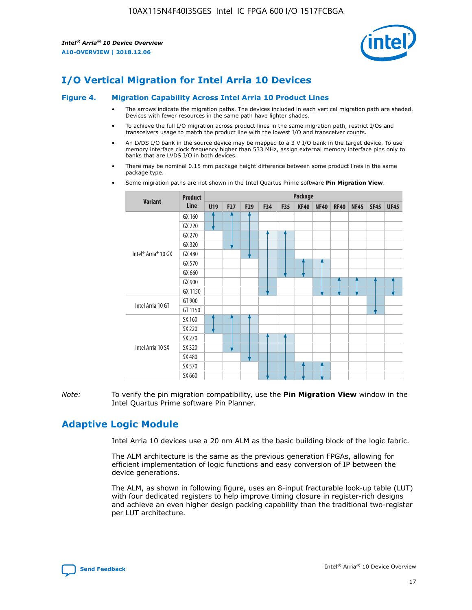

# **I/O Vertical Migration for Intel Arria 10 Devices**

#### **Figure 4. Migration Capability Across Intel Arria 10 Product Lines**

- The arrows indicate the migration paths. The devices included in each vertical migration path are shaded. Devices with fewer resources in the same path have lighter shades.
- To achieve the full I/O migration across product lines in the same migration path, restrict I/Os and transceivers usage to match the product line with the lowest I/O and transceiver counts.
- An LVDS I/O bank in the source device may be mapped to a 3 V I/O bank in the target device. To use memory interface clock frequency higher than 533 MHz, assign external memory interface pins only to banks that are LVDS I/O in both devices.
- There may be nominal 0.15 mm package height difference between some product lines in the same package type.
	- **Variant Product Line Package U19 F27 F29 F34 F35 KF40 NF40 RF40 NF45 SF45 UF45** Intel® Arria® 10 GX GX 160 GX 220 GX 270 GX 320 GX 480 GX 570 GX 660 GX 900 GX 1150 Intel Arria 10 GT GT 900 GT 1150 Intel Arria 10 SX SX 160 SX 220 SX 270 SX 320 SX 480 SX 570 SX 660
- Some migration paths are not shown in the Intel Quartus Prime software **Pin Migration View**.

*Note:* To verify the pin migration compatibility, use the **Pin Migration View** window in the Intel Quartus Prime software Pin Planner.

# **Adaptive Logic Module**

Intel Arria 10 devices use a 20 nm ALM as the basic building block of the logic fabric.

The ALM architecture is the same as the previous generation FPGAs, allowing for efficient implementation of logic functions and easy conversion of IP between the device generations.

The ALM, as shown in following figure, uses an 8-input fracturable look-up table (LUT) with four dedicated registers to help improve timing closure in register-rich designs and achieve an even higher design packing capability than the traditional two-register per LUT architecture.

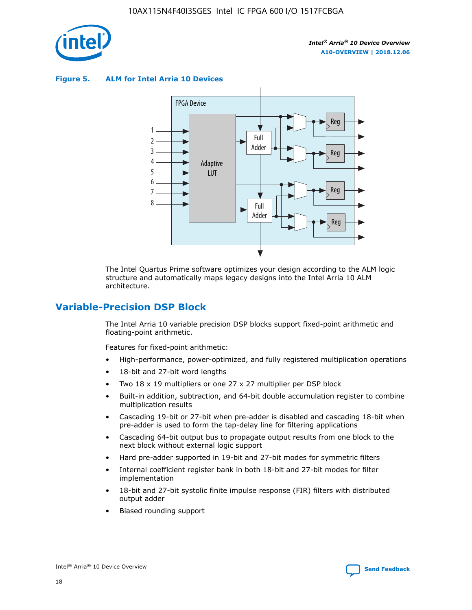

**Figure 5. ALM for Intel Arria 10 Devices**



The Intel Quartus Prime software optimizes your design according to the ALM logic structure and automatically maps legacy designs into the Intel Arria 10 ALM architecture.

# **Variable-Precision DSP Block**

The Intel Arria 10 variable precision DSP blocks support fixed-point arithmetic and floating-point arithmetic.

Features for fixed-point arithmetic:

- High-performance, power-optimized, and fully registered multiplication operations
- 18-bit and 27-bit word lengths
- Two 18 x 19 multipliers or one 27 x 27 multiplier per DSP block
- Built-in addition, subtraction, and 64-bit double accumulation register to combine multiplication results
- Cascading 19-bit or 27-bit when pre-adder is disabled and cascading 18-bit when pre-adder is used to form the tap-delay line for filtering applications
- Cascading 64-bit output bus to propagate output results from one block to the next block without external logic support
- Hard pre-adder supported in 19-bit and 27-bit modes for symmetric filters
- Internal coefficient register bank in both 18-bit and 27-bit modes for filter implementation
- 18-bit and 27-bit systolic finite impulse response (FIR) filters with distributed output adder
- Biased rounding support

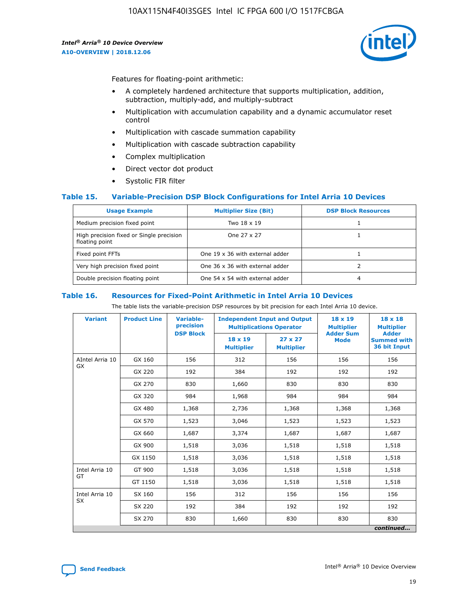

Features for floating-point arithmetic:

- A completely hardened architecture that supports multiplication, addition, subtraction, multiply-add, and multiply-subtract
- Multiplication with accumulation capability and a dynamic accumulator reset control
- Multiplication with cascade summation capability
- Multiplication with cascade subtraction capability
- Complex multiplication
- Direct vector dot product
- Systolic FIR filter

### **Table 15. Variable-Precision DSP Block Configurations for Intel Arria 10 Devices**

| <b>Usage Example</b>                                       | <b>Multiplier Size (Bit)</b>    | <b>DSP Block Resources</b> |
|------------------------------------------------------------|---------------------------------|----------------------------|
| Medium precision fixed point                               | Two 18 x 19                     |                            |
| High precision fixed or Single precision<br>floating point | One 27 x 27                     |                            |
| Fixed point FFTs                                           | One 19 x 36 with external adder |                            |
| Very high precision fixed point                            | One 36 x 36 with external adder |                            |
| Double precision floating point                            | One 54 x 54 with external adder | 4                          |

#### **Table 16. Resources for Fixed-Point Arithmetic in Intel Arria 10 Devices**

The table lists the variable-precision DSP resources by bit precision for each Intel Arria 10 device.

| <b>Variant</b>  | <b>Product Line</b> | <b>Variable-</b><br>precision<br><b>DSP Block</b> | <b>Independent Input and Output</b><br><b>Multiplications Operator</b> |                                     | 18 x 19<br><b>Multiplier</b><br><b>Adder Sum</b> | $18 \times 18$<br><b>Multiplier</b><br><b>Adder</b> |
|-----------------|---------------------|---------------------------------------------------|------------------------------------------------------------------------|-------------------------------------|--------------------------------------------------|-----------------------------------------------------|
|                 |                     |                                                   | 18 x 19<br><b>Multiplier</b>                                           | $27 \times 27$<br><b>Multiplier</b> | <b>Mode</b>                                      | <b>Summed with</b><br>36 bit Input                  |
| AIntel Arria 10 | GX 160              | 156                                               | 312                                                                    | 156                                 | 156                                              | 156                                                 |
| GX              | GX 220              | 192                                               | 384                                                                    | 192                                 | 192                                              | 192                                                 |
|                 | GX 270              | 830                                               | 1,660                                                                  | 830                                 | 830                                              | 830                                                 |
|                 | GX 320              | 984                                               | 1,968                                                                  | 984                                 | 984                                              | 984                                                 |
|                 | GX 480              | 1,368                                             | 2,736                                                                  | 1,368                               | 1,368                                            | 1,368                                               |
|                 | GX 570              | 1,523                                             | 3,046                                                                  | 1,523                               | 1,523                                            | 1,523                                               |
|                 | GX 660              | 1,687                                             | 3,374                                                                  | 1,687                               | 1,687                                            | 1,687                                               |
|                 | GX 900              | 1,518                                             | 3,036                                                                  | 1,518                               | 1,518                                            | 1,518                                               |
|                 | GX 1150             | 1,518                                             | 3,036                                                                  | 1,518                               | 1,518                                            | 1,518                                               |
| Intel Arria 10  | GT 900              | 1,518                                             | 3,036                                                                  | 1,518                               | 1,518                                            | 1,518                                               |
| GT              | GT 1150             | 1,518                                             | 3,036                                                                  | 1,518                               | 1,518                                            | 1,518                                               |
| Intel Arria 10  | SX 160              | 156                                               | 312                                                                    | 156                                 | 156                                              | 156                                                 |
| <b>SX</b>       | SX 220              | 192                                               | 384                                                                    | 192                                 | 192                                              | 192                                                 |
|                 | SX 270              | 830                                               | 1,660                                                                  | 830                                 | 830                                              | 830                                                 |
|                 |                     |                                                   |                                                                        |                                     |                                                  | continued                                           |

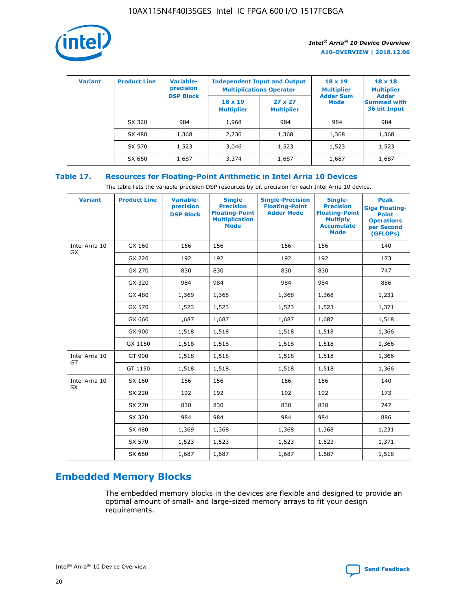

| <b>Variant</b> | <b>Product Line</b> | Variable-<br>precision | <b>Independent Input and Output</b><br><b>Multiplications Operator</b> |                                     | $18 \times 19$<br><b>Multiplier</b> | $18 \times 18$<br><b>Multiplier</b><br><b>Adder</b> |  |
|----------------|---------------------|------------------------|------------------------------------------------------------------------|-------------------------------------|-------------------------------------|-----------------------------------------------------|--|
|                |                     | <b>DSP Block</b>       | $18 \times 19$<br><b>Multiplier</b>                                    | $27 \times 27$<br><b>Multiplier</b> | <b>Adder Sum</b><br><b>Mode</b>     | <b>Summed with</b><br>36 bit Input                  |  |
|                | SX 320              | 984                    | 1,968                                                                  | 984                                 | 984                                 | 984                                                 |  |
|                | SX 480              | 1,368                  | 2,736                                                                  | 1,368                               | 1,368                               | 1,368                                               |  |
|                | SX 570              | 1,523                  | 3,046                                                                  | 1,523                               | 1,523                               | 1,523                                               |  |
|                | SX 660              | 1,687                  | 3,374                                                                  | 1,687                               | 1,687                               | 1,687                                               |  |

# **Table 17. Resources for Floating-Point Arithmetic in Intel Arria 10 Devices**

The table lists the variable-precision DSP resources by bit precision for each Intel Arria 10 device.

| <b>Variant</b> | <b>Product Line</b> | <b>Variable-</b><br>precision<br><b>DSP Block</b> | <b>Single</b><br><b>Precision</b><br><b>Floating-Point</b><br><b>Multiplication</b><br><b>Mode</b> | <b>Single-Precision</b><br><b>Floating-Point</b><br><b>Adder Mode</b> | Single-<br><b>Precision</b><br><b>Floating-Point</b><br><b>Multiply</b><br><b>Accumulate</b><br><b>Mode</b> | <b>Peak</b><br><b>Giga Floating-</b><br><b>Point</b><br><b>Operations</b><br>per Second<br>(GFLOPs) |
|----------------|---------------------|---------------------------------------------------|----------------------------------------------------------------------------------------------------|-----------------------------------------------------------------------|-------------------------------------------------------------------------------------------------------------|-----------------------------------------------------------------------------------------------------|
| Intel Arria 10 | GX 160              | 156                                               | 156                                                                                                | 156                                                                   | 156                                                                                                         | 140                                                                                                 |
| GX             | GX 220              | 192                                               | 192                                                                                                | 192                                                                   | 192                                                                                                         | 173                                                                                                 |
|                | GX 270              | 830                                               | 830                                                                                                | 830                                                                   | 830                                                                                                         | 747                                                                                                 |
|                | GX 320              | 984                                               | 984                                                                                                | 984                                                                   | 984                                                                                                         | 886                                                                                                 |
|                | GX 480              | 1,369                                             | 1,368                                                                                              | 1,368                                                                 | 1,368                                                                                                       | 1,231                                                                                               |
|                | GX 570              | 1,523                                             | 1,523                                                                                              | 1,523                                                                 | 1,523                                                                                                       | 1,371                                                                                               |
|                | GX 660              | 1,687                                             | 1,687                                                                                              | 1,687                                                                 | 1,687                                                                                                       | 1,518                                                                                               |
|                | GX 900              | 1,518                                             | 1,518                                                                                              | 1,518                                                                 | 1,518                                                                                                       | 1,366                                                                                               |
|                | GX 1150             | 1,518                                             | 1,518                                                                                              | 1,518                                                                 | 1,518                                                                                                       | 1,366                                                                                               |
| Intel Arria 10 | GT 900              | 1,518                                             | 1,518                                                                                              | 1,518                                                                 | 1,518                                                                                                       | 1,366                                                                                               |
| GT             | GT 1150             | 1,518                                             | 1,518                                                                                              | 1,518                                                                 | 1,518                                                                                                       | 1,366                                                                                               |
| Intel Arria 10 | SX 160              | 156                                               | 156                                                                                                | 156                                                                   | 156                                                                                                         | 140                                                                                                 |
| SX             | SX 220              | 192                                               | 192                                                                                                | 192                                                                   | 192                                                                                                         | 173                                                                                                 |
|                | SX 270              | 830                                               | 830                                                                                                | 830                                                                   | 830                                                                                                         | 747                                                                                                 |
|                | SX 320              | 984                                               | 984                                                                                                | 984                                                                   | 984                                                                                                         | 886                                                                                                 |
|                | SX 480              | 1,369                                             | 1,368                                                                                              | 1,368                                                                 | 1,368                                                                                                       | 1,231                                                                                               |
|                | SX 570              | 1,523                                             | 1,523                                                                                              | 1,523                                                                 | 1,523                                                                                                       | 1,371                                                                                               |
|                | SX 660              | 1,687                                             | 1,687                                                                                              | 1,687                                                                 | 1,687                                                                                                       | 1,518                                                                                               |

# **Embedded Memory Blocks**

The embedded memory blocks in the devices are flexible and designed to provide an optimal amount of small- and large-sized memory arrays to fit your design requirements.

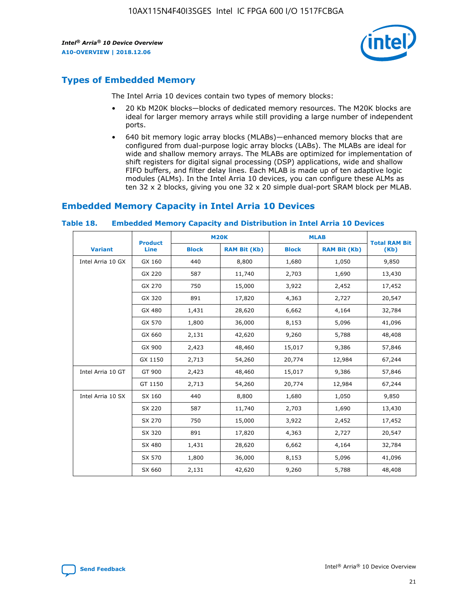

# **Types of Embedded Memory**

The Intel Arria 10 devices contain two types of memory blocks:

- 20 Kb M20K blocks—blocks of dedicated memory resources. The M20K blocks are ideal for larger memory arrays while still providing a large number of independent ports.
- 640 bit memory logic array blocks (MLABs)—enhanced memory blocks that are configured from dual-purpose logic array blocks (LABs). The MLABs are ideal for wide and shallow memory arrays. The MLABs are optimized for implementation of shift registers for digital signal processing (DSP) applications, wide and shallow FIFO buffers, and filter delay lines. Each MLAB is made up of ten adaptive logic modules (ALMs). In the Intel Arria 10 devices, you can configure these ALMs as ten 32 x 2 blocks, giving you one 32 x 20 simple dual-port SRAM block per MLAB.

# **Embedded Memory Capacity in Intel Arria 10 Devices**

|                   | <b>Product</b> |              | <b>M20K</b>         | <b>MLAB</b>  |                     | <b>Total RAM Bit</b> |
|-------------------|----------------|--------------|---------------------|--------------|---------------------|----------------------|
| <b>Variant</b>    | Line           | <b>Block</b> | <b>RAM Bit (Kb)</b> | <b>Block</b> | <b>RAM Bit (Kb)</b> | (Kb)                 |
| Intel Arria 10 GX | GX 160         | 440          | 8,800               | 1,680        | 1,050               | 9,850                |
|                   | GX 220         | 587          | 11,740              | 2,703        | 1,690               | 13,430               |
|                   | GX 270         | 750          | 15,000              | 3,922        | 2,452               | 17,452               |
|                   | GX 320         | 891          | 17,820              | 4,363        | 2,727               | 20,547               |
|                   | GX 480         | 1,431        | 28,620              | 6,662        | 4,164               | 32,784               |
|                   | GX 570         | 1,800        | 36,000              | 8,153        | 5,096               | 41,096               |
|                   | GX 660         | 2,131        | 42,620              | 9,260        | 5,788               | 48,408               |
|                   | GX 900         | 2,423        | 48,460              | 15,017       | 9,386               | 57,846               |
|                   | GX 1150        | 2,713        | 54,260              | 20,774       | 12,984              | 67,244               |
| Intel Arria 10 GT | GT 900         | 2,423        | 48,460              | 15,017       | 9,386               | 57,846               |
|                   | GT 1150        | 2,713        | 54,260              | 20,774       | 12,984              | 67,244               |
| Intel Arria 10 SX | SX 160         | 440          | 8,800               | 1,680        | 1,050               | 9,850                |
|                   | SX 220         | 587          | 11,740              | 2,703        | 1,690               | 13,430               |
|                   | SX 270         | 750          | 15,000              | 3,922        | 2,452               | 17,452               |
|                   | SX 320         | 891          | 17,820              | 4,363        | 2,727               | 20,547               |
|                   | SX 480         | 1,431        | 28,620              | 6,662        | 4,164               | 32,784               |
|                   | SX 570         | 1,800        | 36,000              | 8,153        | 5,096               | 41,096               |
|                   | SX 660         | 2,131        | 42,620              | 9,260        | 5,788               | 48,408               |

#### **Table 18. Embedded Memory Capacity and Distribution in Intel Arria 10 Devices**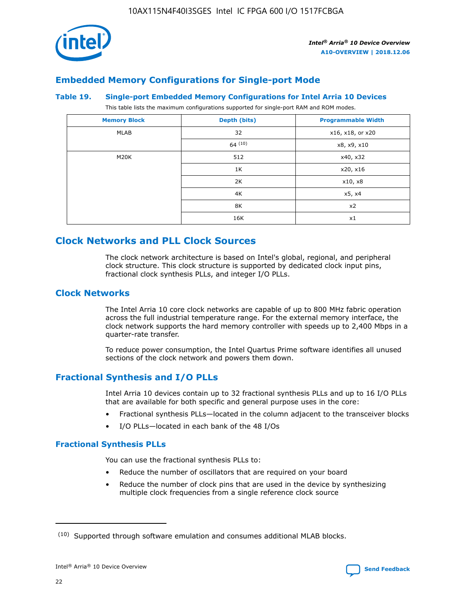

# **Embedded Memory Configurations for Single-port Mode**

#### **Table 19. Single-port Embedded Memory Configurations for Intel Arria 10 Devices**

This table lists the maximum configurations supported for single-port RAM and ROM modes.

| <b>Memory Block</b> | Depth (bits) | <b>Programmable Width</b> |
|---------------------|--------------|---------------------------|
| MLAB                | 32           | x16, x18, or x20          |
|                     | 64(10)       | x8, x9, x10               |
| M20K                | 512          | x40, x32                  |
|                     | 1K           | x20, x16                  |
|                     | 2K           | x10, x8                   |
|                     | 4K           | x5, x4                    |
|                     | 8K           | x2                        |
|                     | 16K          | x1                        |

# **Clock Networks and PLL Clock Sources**

The clock network architecture is based on Intel's global, regional, and peripheral clock structure. This clock structure is supported by dedicated clock input pins, fractional clock synthesis PLLs, and integer I/O PLLs.

# **Clock Networks**

The Intel Arria 10 core clock networks are capable of up to 800 MHz fabric operation across the full industrial temperature range. For the external memory interface, the clock network supports the hard memory controller with speeds up to 2,400 Mbps in a quarter-rate transfer.

To reduce power consumption, the Intel Quartus Prime software identifies all unused sections of the clock network and powers them down.

## **Fractional Synthesis and I/O PLLs**

Intel Arria 10 devices contain up to 32 fractional synthesis PLLs and up to 16 I/O PLLs that are available for both specific and general purpose uses in the core:

- Fractional synthesis PLLs—located in the column adjacent to the transceiver blocks
- I/O PLLs—located in each bank of the 48 I/Os

## **Fractional Synthesis PLLs**

You can use the fractional synthesis PLLs to:

- Reduce the number of oscillators that are required on your board
- Reduce the number of clock pins that are used in the device by synthesizing multiple clock frequencies from a single reference clock source

<sup>(10)</sup> Supported through software emulation and consumes additional MLAB blocks.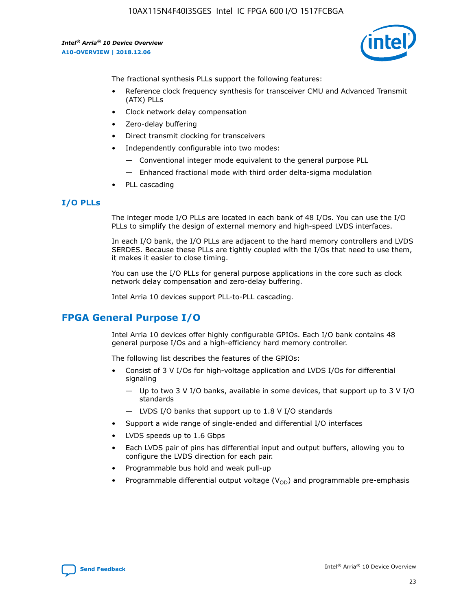

The fractional synthesis PLLs support the following features:

- Reference clock frequency synthesis for transceiver CMU and Advanced Transmit (ATX) PLLs
- Clock network delay compensation
- Zero-delay buffering
- Direct transmit clocking for transceivers
- Independently configurable into two modes:
	- Conventional integer mode equivalent to the general purpose PLL
	- Enhanced fractional mode with third order delta-sigma modulation
- PLL cascading

## **I/O PLLs**

The integer mode I/O PLLs are located in each bank of 48 I/Os. You can use the I/O PLLs to simplify the design of external memory and high-speed LVDS interfaces.

In each I/O bank, the I/O PLLs are adjacent to the hard memory controllers and LVDS SERDES. Because these PLLs are tightly coupled with the I/Os that need to use them, it makes it easier to close timing.

You can use the I/O PLLs for general purpose applications in the core such as clock network delay compensation and zero-delay buffering.

Intel Arria 10 devices support PLL-to-PLL cascading.

# **FPGA General Purpose I/O**

Intel Arria 10 devices offer highly configurable GPIOs. Each I/O bank contains 48 general purpose I/Os and a high-efficiency hard memory controller.

The following list describes the features of the GPIOs:

- Consist of 3 V I/Os for high-voltage application and LVDS I/Os for differential signaling
	- Up to two 3 V I/O banks, available in some devices, that support up to 3 V I/O standards
	- LVDS I/O banks that support up to 1.8 V I/O standards
- Support a wide range of single-ended and differential I/O interfaces
- LVDS speeds up to 1.6 Gbps
- Each LVDS pair of pins has differential input and output buffers, allowing you to configure the LVDS direction for each pair.
- Programmable bus hold and weak pull-up
- Programmable differential output voltage  $(V_{OD})$  and programmable pre-emphasis

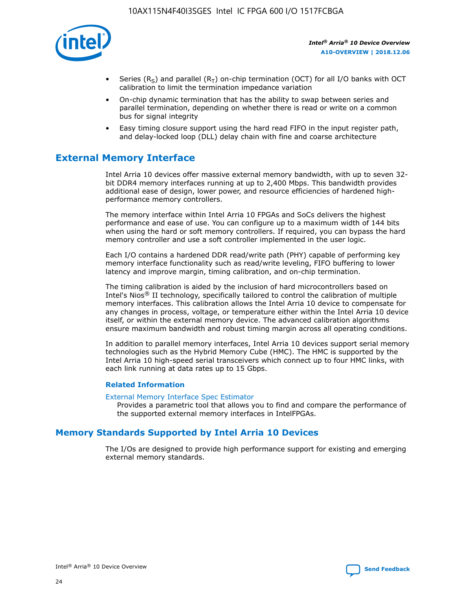

- Series (R<sub>S</sub>) and parallel (R<sub>T</sub>) on-chip termination (OCT) for all I/O banks with OCT calibration to limit the termination impedance variation
- On-chip dynamic termination that has the ability to swap between series and parallel termination, depending on whether there is read or write on a common bus for signal integrity
- Easy timing closure support using the hard read FIFO in the input register path, and delay-locked loop (DLL) delay chain with fine and coarse architecture

# **External Memory Interface**

Intel Arria 10 devices offer massive external memory bandwidth, with up to seven 32 bit DDR4 memory interfaces running at up to 2,400 Mbps. This bandwidth provides additional ease of design, lower power, and resource efficiencies of hardened highperformance memory controllers.

The memory interface within Intel Arria 10 FPGAs and SoCs delivers the highest performance and ease of use. You can configure up to a maximum width of 144 bits when using the hard or soft memory controllers. If required, you can bypass the hard memory controller and use a soft controller implemented in the user logic.

Each I/O contains a hardened DDR read/write path (PHY) capable of performing key memory interface functionality such as read/write leveling, FIFO buffering to lower latency and improve margin, timing calibration, and on-chip termination.

The timing calibration is aided by the inclusion of hard microcontrollers based on Intel's Nios® II technology, specifically tailored to control the calibration of multiple memory interfaces. This calibration allows the Intel Arria 10 device to compensate for any changes in process, voltage, or temperature either within the Intel Arria 10 device itself, or within the external memory device. The advanced calibration algorithms ensure maximum bandwidth and robust timing margin across all operating conditions.

In addition to parallel memory interfaces, Intel Arria 10 devices support serial memory technologies such as the Hybrid Memory Cube (HMC). The HMC is supported by the Intel Arria 10 high-speed serial transceivers which connect up to four HMC links, with each link running at data rates up to 15 Gbps.

### **Related Information**

#### [External Memory Interface Spec Estimator](http://www.altera.com/technology/memory/estimator/mem-emif-index.html)

Provides a parametric tool that allows you to find and compare the performance of the supported external memory interfaces in IntelFPGAs.

# **Memory Standards Supported by Intel Arria 10 Devices**

The I/Os are designed to provide high performance support for existing and emerging external memory standards.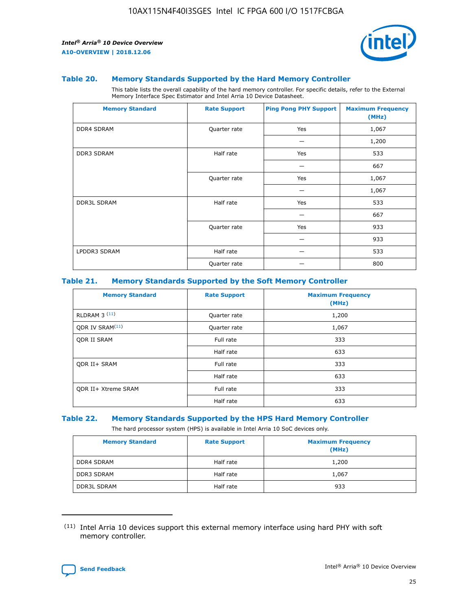

#### **Table 20. Memory Standards Supported by the Hard Memory Controller**

This table lists the overall capability of the hard memory controller. For specific details, refer to the External Memory Interface Spec Estimator and Intel Arria 10 Device Datasheet.

| <b>Memory Standard</b> | <b>Rate Support</b> | <b>Ping Pong PHY Support</b> | <b>Maximum Frequency</b><br>(MHz) |
|------------------------|---------------------|------------------------------|-----------------------------------|
| <b>DDR4 SDRAM</b>      | Quarter rate        | Yes                          | 1,067                             |
|                        |                     |                              | 1,200                             |
| <b>DDR3 SDRAM</b>      | Half rate           | Yes                          | 533                               |
|                        |                     |                              | 667                               |
|                        | Quarter rate        | Yes                          | 1,067                             |
|                        |                     |                              | 1,067                             |
| <b>DDR3L SDRAM</b>     | Half rate           | Yes                          | 533                               |
|                        |                     |                              | 667                               |
|                        | Quarter rate        | Yes                          | 933                               |
|                        |                     |                              | 933                               |
| LPDDR3 SDRAM           | Half rate           |                              | 533                               |
|                        | Quarter rate        |                              | 800                               |

### **Table 21. Memory Standards Supported by the Soft Memory Controller**

| <b>Memory Standard</b>      | <b>Rate Support</b> | <b>Maximum Frequency</b><br>(MHz) |
|-----------------------------|---------------------|-----------------------------------|
| <b>RLDRAM 3 (11)</b>        | Quarter rate        | 1,200                             |
| ODR IV SRAM <sup>(11)</sup> | Quarter rate        | 1,067                             |
| <b>ODR II SRAM</b>          | Full rate           | 333                               |
|                             | Half rate           | 633                               |
| <b>ODR II+ SRAM</b>         | Full rate           | 333                               |
|                             | Half rate           | 633                               |
| <b>ODR II+ Xtreme SRAM</b>  | Full rate           | 333                               |
|                             | Half rate           | 633                               |

#### **Table 22. Memory Standards Supported by the HPS Hard Memory Controller**

The hard processor system (HPS) is available in Intel Arria 10 SoC devices only.

| <b>Memory Standard</b> | <b>Rate Support</b> | <b>Maximum Frequency</b><br>(MHz) |
|------------------------|---------------------|-----------------------------------|
| <b>DDR4 SDRAM</b>      | Half rate           | 1,200                             |
| <b>DDR3 SDRAM</b>      | Half rate           | 1,067                             |
| <b>DDR3L SDRAM</b>     | Half rate           | 933                               |

<sup>(11)</sup> Intel Arria 10 devices support this external memory interface using hard PHY with soft memory controller.

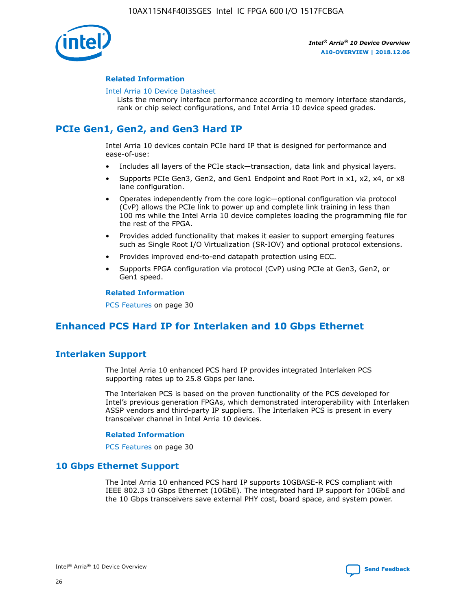

### **Related Information**

#### [Intel Arria 10 Device Datasheet](https://www.intel.com/content/www/us/en/programmable/documentation/mcn1413182292568.html#mcn1413182153340)

Lists the memory interface performance according to memory interface standards, rank or chip select configurations, and Intel Arria 10 device speed grades.

# **PCIe Gen1, Gen2, and Gen3 Hard IP**

Intel Arria 10 devices contain PCIe hard IP that is designed for performance and ease-of-use:

- Includes all layers of the PCIe stack—transaction, data link and physical layers.
- Supports PCIe Gen3, Gen2, and Gen1 Endpoint and Root Port in x1, x2, x4, or x8 lane configuration.
- Operates independently from the core logic—optional configuration via protocol (CvP) allows the PCIe link to power up and complete link training in less than 100 ms while the Intel Arria 10 device completes loading the programming file for the rest of the FPGA.
- Provides added functionality that makes it easier to support emerging features such as Single Root I/O Virtualization (SR-IOV) and optional protocol extensions.
- Provides improved end-to-end datapath protection using ECC.
- Supports FPGA configuration via protocol (CvP) using PCIe at Gen3, Gen2, or Gen1 speed.

#### **Related Information**

PCS Features on page 30

# **Enhanced PCS Hard IP for Interlaken and 10 Gbps Ethernet**

# **Interlaken Support**

The Intel Arria 10 enhanced PCS hard IP provides integrated Interlaken PCS supporting rates up to 25.8 Gbps per lane.

The Interlaken PCS is based on the proven functionality of the PCS developed for Intel's previous generation FPGAs, which demonstrated interoperability with Interlaken ASSP vendors and third-party IP suppliers. The Interlaken PCS is present in every transceiver channel in Intel Arria 10 devices.

### **Related Information**

PCS Features on page 30

## **10 Gbps Ethernet Support**

The Intel Arria 10 enhanced PCS hard IP supports 10GBASE-R PCS compliant with IEEE 802.3 10 Gbps Ethernet (10GbE). The integrated hard IP support for 10GbE and the 10 Gbps transceivers save external PHY cost, board space, and system power.

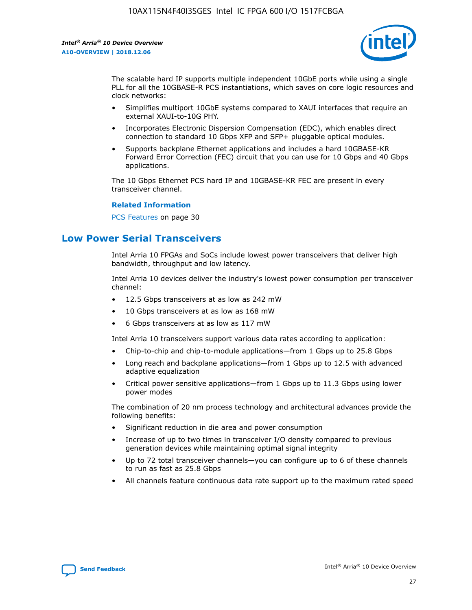

The scalable hard IP supports multiple independent 10GbE ports while using a single PLL for all the 10GBASE-R PCS instantiations, which saves on core logic resources and clock networks:

- Simplifies multiport 10GbE systems compared to XAUI interfaces that require an external XAUI-to-10G PHY.
- Incorporates Electronic Dispersion Compensation (EDC), which enables direct connection to standard 10 Gbps XFP and SFP+ pluggable optical modules.
- Supports backplane Ethernet applications and includes a hard 10GBASE-KR Forward Error Correction (FEC) circuit that you can use for 10 Gbps and 40 Gbps applications.

The 10 Gbps Ethernet PCS hard IP and 10GBASE-KR FEC are present in every transceiver channel.

#### **Related Information**

PCS Features on page 30

# **Low Power Serial Transceivers**

Intel Arria 10 FPGAs and SoCs include lowest power transceivers that deliver high bandwidth, throughput and low latency.

Intel Arria 10 devices deliver the industry's lowest power consumption per transceiver channel:

- 12.5 Gbps transceivers at as low as 242 mW
- 10 Gbps transceivers at as low as 168 mW
- 6 Gbps transceivers at as low as 117 mW

Intel Arria 10 transceivers support various data rates according to application:

- Chip-to-chip and chip-to-module applications—from 1 Gbps up to 25.8 Gbps
- Long reach and backplane applications—from 1 Gbps up to 12.5 with advanced adaptive equalization
- Critical power sensitive applications—from 1 Gbps up to 11.3 Gbps using lower power modes

The combination of 20 nm process technology and architectural advances provide the following benefits:

- Significant reduction in die area and power consumption
- Increase of up to two times in transceiver I/O density compared to previous generation devices while maintaining optimal signal integrity
- Up to 72 total transceiver channels—you can configure up to 6 of these channels to run as fast as 25.8 Gbps
- All channels feature continuous data rate support up to the maximum rated speed

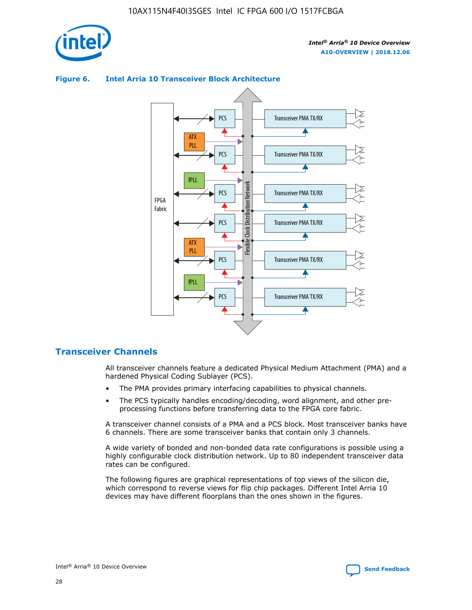

# ATX PLL PCS Transceiver PMA TX/RX

**Figure 6. Intel Arria 10 Transceiver Block Architecture**



# **Transceiver Channels**

All transceiver channels feature a dedicated Physical Medium Attachment (PMA) and a hardened Physical Coding Sublayer (PCS).

- The PMA provides primary interfacing capabilities to physical channels.
- The PCS typically handles encoding/decoding, word alignment, and other preprocessing functions before transferring data to the FPGA core fabric.

A transceiver channel consists of a PMA and a PCS block. Most transceiver banks have 6 channels. There are some transceiver banks that contain only 3 channels.

A wide variety of bonded and non-bonded data rate configurations is possible using a highly configurable clock distribution network. Up to 80 independent transceiver data rates can be configured.

The following figures are graphical representations of top views of the silicon die, which correspond to reverse views for flip chip packages. Different Intel Arria 10 devices may have different floorplans than the ones shown in the figures.

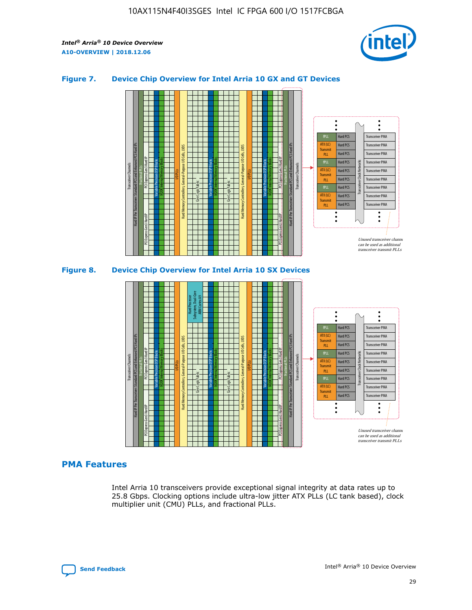

## **Figure 7. Device Chip Overview for Intel Arria 10 GX and GT Devices**





## **PMA Features**

Intel Arria 10 transceivers provide exceptional signal integrity at data rates up to 25.8 Gbps. Clocking options include ultra-low jitter ATX PLLs (LC tank based), clock multiplier unit (CMU) PLLs, and fractional PLLs.

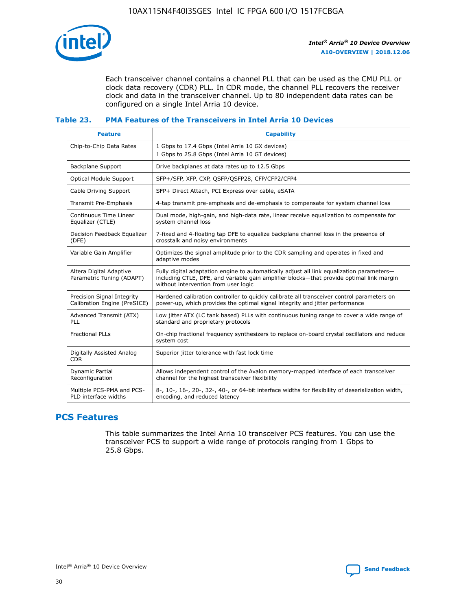

Each transceiver channel contains a channel PLL that can be used as the CMU PLL or clock data recovery (CDR) PLL. In CDR mode, the channel PLL recovers the receiver clock and data in the transceiver channel. Up to 80 independent data rates can be configured on a single Intel Arria 10 device.

## **Table 23. PMA Features of the Transceivers in Intel Arria 10 Devices**

| <b>Feature</b>                                             | <b>Capability</b>                                                                                                                                                                                                             |
|------------------------------------------------------------|-------------------------------------------------------------------------------------------------------------------------------------------------------------------------------------------------------------------------------|
| Chip-to-Chip Data Rates                                    | 1 Gbps to 17.4 Gbps (Intel Arria 10 GX devices)<br>1 Gbps to 25.8 Gbps (Intel Arria 10 GT devices)                                                                                                                            |
| Backplane Support                                          | Drive backplanes at data rates up to 12.5 Gbps                                                                                                                                                                                |
| Optical Module Support                                     | SFP+/SFP, XFP, CXP, QSFP/QSFP28, CFP/CFP2/CFP4                                                                                                                                                                                |
| Cable Driving Support                                      | SFP+ Direct Attach, PCI Express over cable, eSATA                                                                                                                                                                             |
| Transmit Pre-Emphasis                                      | 4-tap transmit pre-emphasis and de-emphasis to compensate for system channel loss                                                                                                                                             |
| Continuous Time Linear<br>Equalizer (CTLE)                 | Dual mode, high-gain, and high-data rate, linear receive equalization to compensate for<br>system channel loss                                                                                                                |
| Decision Feedback Equalizer<br>(DFE)                       | 7-fixed and 4-floating tap DFE to equalize backplane channel loss in the presence of<br>crosstalk and noisy environments                                                                                                      |
| Variable Gain Amplifier                                    | Optimizes the signal amplitude prior to the CDR sampling and operates in fixed and<br>adaptive modes                                                                                                                          |
| Altera Digital Adaptive<br>Parametric Tuning (ADAPT)       | Fully digital adaptation engine to automatically adjust all link equalization parameters-<br>including CTLE, DFE, and variable gain amplifier blocks—that provide optimal link margin<br>without intervention from user logic |
| Precision Signal Integrity<br>Calibration Engine (PreSICE) | Hardened calibration controller to quickly calibrate all transceiver control parameters on<br>power-up, which provides the optimal signal integrity and jitter performance                                                    |
| Advanced Transmit (ATX)<br><b>PLL</b>                      | Low jitter ATX (LC tank based) PLLs with continuous tuning range to cover a wide range of<br>standard and proprietary protocols                                                                                               |
| <b>Fractional PLLs</b>                                     | On-chip fractional frequency synthesizers to replace on-board crystal oscillators and reduce<br>system cost                                                                                                                   |
| Digitally Assisted Analog<br><b>CDR</b>                    | Superior jitter tolerance with fast lock time                                                                                                                                                                                 |
| Dynamic Partial<br>Reconfiguration                         | Allows independent control of the Avalon memory-mapped interface of each transceiver<br>channel for the highest transceiver flexibility                                                                                       |
| Multiple PCS-PMA and PCS-<br>PLD interface widths          | 8-, 10-, 16-, 20-, 32-, 40-, or 64-bit interface widths for flexibility of deserialization width,<br>encoding, and reduced latency                                                                                            |

# **PCS Features**

This table summarizes the Intel Arria 10 transceiver PCS features. You can use the transceiver PCS to support a wide range of protocols ranging from 1 Gbps to 25.8 Gbps.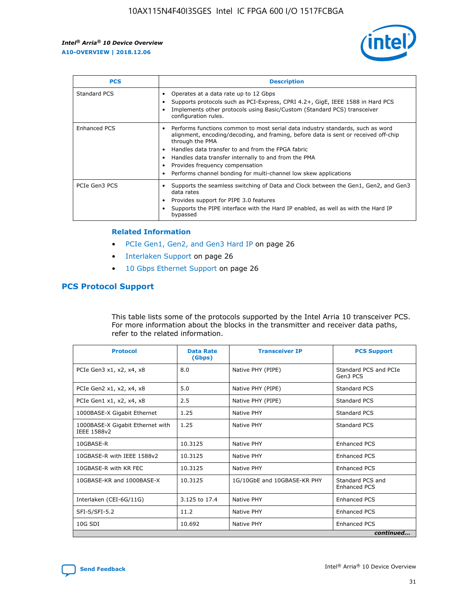

| <b>PCS</b>    | <b>Description</b>                                                                                                                                                                                                                                                                                                                                                                                             |
|---------------|----------------------------------------------------------------------------------------------------------------------------------------------------------------------------------------------------------------------------------------------------------------------------------------------------------------------------------------------------------------------------------------------------------------|
| Standard PCS  | Operates at a data rate up to 12 Gbps<br>Supports protocols such as PCI-Express, CPRI 4.2+, GigE, IEEE 1588 in Hard PCS<br>Implements other protocols using Basic/Custom (Standard PCS) transceiver<br>configuration rules.                                                                                                                                                                                    |
| Enhanced PCS  | Performs functions common to most serial data industry standards, such as word<br>alignment, encoding/decoding, and framing, before data is sent or received off-chip<br>through the PMA<br>• Handles data transfer to and from the FPGA fabric<br>Handles data transfer internally to and from the PMA<br>Provides frequency compensation<br>Performs channel bonding for multi-channel low skew applications |
| PCIe Gen3 PCS | Supports the seamless switching of Data and Clock between the Gen1, Gen2, and Gen3<br>data rates<br>Provides support for PIPE 3.0 features<br>Supports the PIPE interface with the Hard IP enabled, as well as with the Hard IP<br>bypassed                                                                                                                                                                    |

#### **Related Information**

- PCIe Gen1, Gen2, and Gen3 Hard IP on page 26
- Interlaken Support on page 26
- 10 Gbps Ethernet Support on page 26

## **PCS Protocol Support**

This table lists some of the protocols supported by the Intel Arria 10 transceiver PCS. For more information about the blocks in the transmitter and receiver data paths, refer to the related information.

| <b>Protocol</b>                                 | <b>Data Rate</b><br>(Gbps) | <b>Transceiver IP</b>       | <b>PCS Support</b>                |
|-------------------------------------------------|----------------------------|-----------------------------|-----------------------------------|
| PCIe Gen3 x1, x2, x4, x8                        | 8.0                        | Native PHY (PIPE)           | Standard PCS and PCIe<br>Gen3 PCS |
| PCIe Gen2 x1, x2, x4, x8                        | 5.0                        | Native PHY (PIPE)           | <b>Standard PCS</b>               |
| PCIe Gen1 x1, x2, x4, x8                        | 2.5                        | Native PHY (PIPE)           | Standard PCS                      |
| 1000BASE-X Gigabit Ethernet                     | 1.25                       | Native PHY                  | Standard PCS                      |
| 1000BASE-X Gigabit Ethernet with<br>IEEE 1588v2 | 1.25                       | Native PHY                  | Standard PCS                      |
| 10GBASE-R                                       | 10.3125                    | Native PHY                  | <b>Enhanced PCS</b>               |
| 10GBASE-R with IEEE 1588v2                      | 10.3125                    | Native PHY                  | <b>Enhanced PCS</b>               |
| 10GBASE-R with KR FEC                           | 10.3125                    | Native PHY                  | <b>Enhanced PCS</b>               |
| 10GBASE-KR and 1000BASE-X                       | 10.3125                    | 1G/10GbE and 10GBASE-KR PHY | Standard PCS and<br>Enhanced PCS  |
| Interlaken (CEI-6G/11G)                         | 3.125 to 17.4              | Native PHY                  | <b>Enhanced PCS</b>               |
| SFI-S/SFI-5.2                                   | 11.2                       | Native PHY                  | <b>Enhanced PCS</b>               |
| $10G$ SDI                                       | 10.692                     | Native PHY                  | <b>Enhanced PCS</b>               |
|                                                 |                            |                             | continued                         |

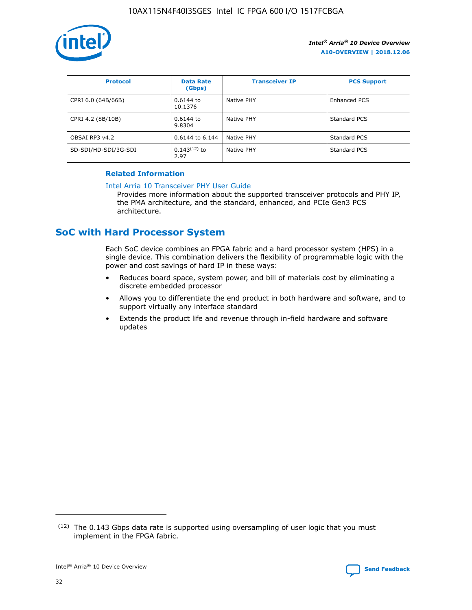

| <b>Protocol</b>      | <b>Data Rate</b><br>(Gbps) | <b>Transceiver IP</b> | <b>PCS Support</b> |
|----------------------|----------------------------|-----------------------|--------------------|
| CPRI 6.0 (64B/66B)   | 0.6144 to<br>10.1376       | Native PHY            | Enhanced PCS       |
| CPRI 4.2 (8B/10B)    | 0.6144 to<br>9.8304        | Native PHY            | Standard PCS       |
| OBSAI RP3 v4.2       | 0.6144 to 6.144            | Native PHY            | Standard PCS       |
| SD-SDI/HD-SDI/3G-SDI | $0.143(12)$ to<br>2.97     | Native PHY            | Standard PCS       |

## **Related Information**

#### [Intel Arria 10 Transceiver PHY User Guide](https://www.intel.com/content/www/us/en/programmable/documentation/nik1398707230472.html#nik1398707091164)

Provides more information about the supported transceiver protocols and PHY IP, the PMA architecture, and the standard, enhanced, and PCIe Gen3 PCS architecture.

# **SoC with Hard Processor System**

Each SoC device combines an FPGA fabric and a hard processor system (HPS) in a single device. This combination delivers the flexibility of programmable logic with the power and cost savings of hard IP in these ways:

- Reduces board space, system power, and bill of materials cost by eliminating a discrete embedded processor
- Allows you to differentiate the end product in both hardware and software, and to support virtually any interface standard
- Extends the product life and revenue through in-field hardware and software updates

 $(12)$  The 0.143 Gbps data rate is supported using oversampling of user logic that you must implement in the FPGA fabric.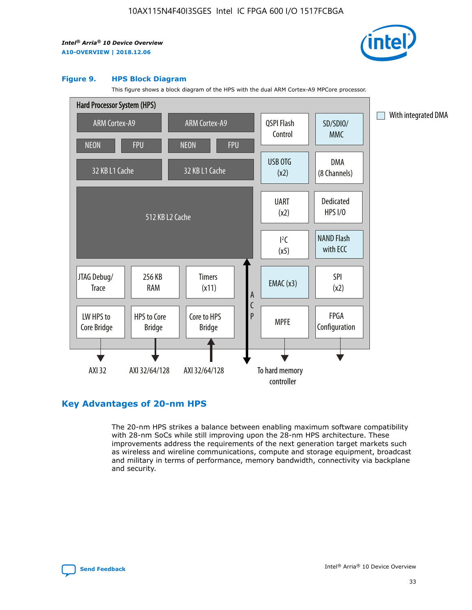

#### **Figure 9. HPS Block Diagram**

This figure shows a block diagram of the HPS with the dual ARM Cortex-A9 MPCore processor.



# **Key Advantages of 20-nm HPS**

The 20-nm HPS strikes a balance between enabling maximum software compatibility with 28-nm SoCs while still improving upon the 28-nm HPS architecture. These improvements address the requirements of the next generation target markets such as wireless and wireline communications, compute and storage equipment, broadcast and military in terms of performance, memory bandwidth, connectivity via backplane and security.

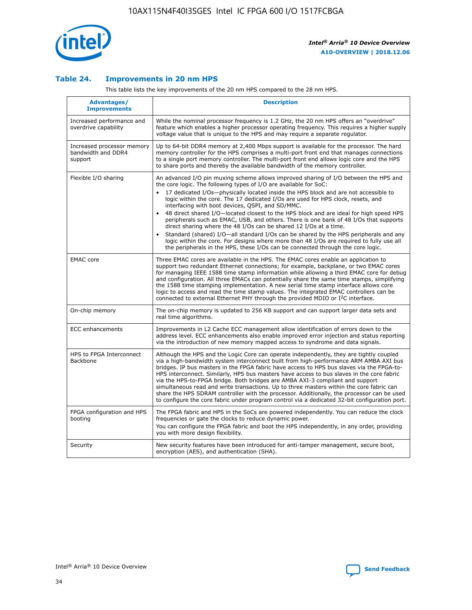

## **Table 24. Improvements in 20 nm HPS**

This table lists the key improvements of the 20 nm HPS compared to the 28 nm HPS.

| Advantages/<br><b>Improvements</b>                          | <b>Description</b>                                                                                                                                                                                                                                                                                                                                                                                                                                                                                                                                                                                                                                                                                                                                                                                                                   |
|-------------------------------------------------------------|--------------------------------------------------------------------------------------------------------------------------------------------------------------------------------------------------------------------------------------------------------------------------------------------------------------------------------------------------------------------------------------------------------------------------------------------------------------------------------------------------------------------------------------------------------------------------------------------------------------------------------------------------------------------------------------------------------------------------------------------------------------------------------------------------------------------------------------|
| Increased performance and<br>overdrive capability           | While the nominal processor frequency is 1.2 GHz, the 20 nm HPS offers an "overdrive"<br>feature which enables a higher processor operating frequency. This requires a higher supply<br>voltage value that is unique to the HPS and may require a separate regulator.                                                                                                                                                                                                                                                                                                                                                                                                                                                                                                                                                                |
| Increased processor memory<br>bandwidth and DDR4<br>support | Up to 64-bit DDR4 memory at 2,400 Mbps support is available for the processor. The hard<br>memory controller for the HPS comprises a multi-port front end that manages connections<br>to a single port memory controller. The multi-port front end allows logic core and the HPS<br>to share ports and thereby the available bandwidth of the memory controller.                                                                                                                                                                                                                                                                                                                                                                                                                                                                     |
| Flexible I/O sharing                                        | An advanced I/O pin muxing scheme allows improved sharing of I/O between the HPS and<br>the core logic. The following types of I/O are available for SoC:<br>17 dedicated I/Os-physically located inside the HPS block and are not accessible to<br>logic within the core. The 17 dedicated I/Os are used for HPS clock, resets, and<br>interfacing with boot devices, QSPI, and SD/MMC.<br>48 direct shared I/O-located closest to the HPS block and are ideal for high speed HPS<br>peripherals such as EMAC, USB, and others. There is one bank of 48 I/Os that supports<br>direct sharing where the 48 I/Os can be shared 12 I/Os at a time.<br>Standard (shared) I/O-all standard I/Os can be shared by the HPS peripherals and any<br>logic within the core. For designs where more than 48 I/Os are reguired to fully use all |
| <b>EMAC</b> core                                            | the peripherals in the HPS, these I/Os can be connected through the core logic.<br>Three EMAC cores are available in the HPS. The EMAC cores enable an application to<br>support two redundant Ethernet connections; for example, backplane, or two EMAC cores<br>for managing IEEE 1588 time stamp information while allowing a third EMAC core for debug<br>and configuration. All three EMACs can potentially share the same time stamps, simplifying<br>the 1588 time stamping implementation. A new serial time stamp interface allows core<br>logic to access and read the time stamp values. The integrated EMAC controllers can be<br>connected to external Ethernet PHY through the provided MDIO or I <sup>2</sup> C interface.                                                                                            |
| On-chip memory                                              | The on-chip memory is updated to 256 KB support and can support larger data sets and<br>real time algorithms.                                                                                                                                                                                                                                                                                                                                                                                                                                                                                                                                                                                                                                                                                                                        |
| ECC enhancements                                            | Improvements in L2 Cache ECC management allow identification of errors down to the<br>address level. ECC enhancements also enable improved error injection and status reporting<br>via the introduction of new memory mapped access to syndrome and data signals.                                                                                                                                                                                                                                                                                                                                                                                                                                                                                                                                                                    |
| HPS to FPGA Interconnect<br>Backbone                        | Although the HPS and the Logic Core can operate independently, they are tightly coupled<br>via a high-bandwidth system interconnect built from high-performance ARM AMBA AXI bus<br>bridges. IP bus masters in the FPGA fabric have access to HPS bus slaves via the FPGA-to-<br>HPS interconnect. Similarly, HPS bus masters have access to bus slaves in the core fabric<br>via the HPS-to-FPGA bridge. Both bridges are AMBA AXI-3 compliant and support<br>simultaneous read and write transactions. Up to three masters within the core fabric can<br>share the HPS SDRAM controller with the processor. Additionally, the processor can be used<br>to configure the core fabric under program control via a dedicated 32-bit configuration port.                                                                               |
| FPGA configuration and HPS<br>booting                       | The FPGA fabric and HPS in the SoCs are powered independently. You can reduce the clock<br>frequencies or gate the clocks to reduce dynamic power.<br>You can configure the FPGA fabric and boot the HPS independently, in any order, providing<br>you with more design flexibility.                                                                                                                                                                                                                                                                                                                                                                                                                                                                                                                                                 |
| Security                                                    | New security features have been introduced for anti-tamper management, secure boot,<br>encryption (AES), and authentication (SHA).                                                                                                                                                                                                                                                                                                                                                                                                                                                                                                                                                                                                                                                                                                   |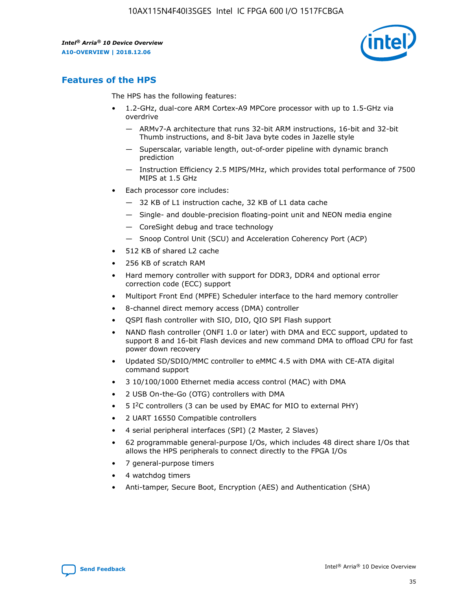

# **Features of the HPS**

The HPS has the following features:

- 1.2-GHz, dual-core ARM Cortex-A9 MPCore processor with up to 1.5-GHz via overdrive
	- ARMv7-A architecture that runs 32-bit ARM instructions, 16-bit and 32-bit Thumb instructions, and 8-bit Java byte codes in Jazelle style
	- Superscalar, variable length, out-of-order pipeline with dynamic branch prediction
	- Instruction Efficiency 2.5 MIPS/MHz, which provides total performance of 7500 MIPS at 1.5 GHz
- Each processor core includes:
	- 32 KB of L1 instruction cache, 32 KB of L1 data cache
	- Single- and double-precision floating-point unit and NEON media engine
	- CoreSight debug and trace technology
	- Snoop Control Unit (SCU) and Acceleration Coherency Port (ACP)
- 512 KB of shared L2 cache
- 256 KB of scratch RAM
- Hard memory controller with support for DDR3, DDR4 and optional error correction code (ECC) support
- Multiport Front End (MPFE) Scheduler interface to the hard memory controller
- 8-channel direct memory access (DMA) controller
- QSPI flash controller with SIO, DIO, QIO SPI Flash support
- NAND flash controller (ONFI 1.0 or later) with DMA and ECC support, updated to support 8 and 16-bit Flash devices and new command DMA to offload CPU for fast power down recovery
- Updated SD/SDIO/MMC controller to eMMC 4.5 with DMA with CE-ATA digital command support
- 3 10/100/1000 Ethernet media access control (MAC) with DMA
- 2 USB On-the-Go (OTG) controllers with DMA
- $\bullet$  5 I<sup>2</sup>C controllers (3 can be used by EMAC for MIO to external PHY)
- 2 UART 16550 Compatible controllers
- 4 serial peripheral interfaces (SPI) (2 Master, 2 Slaves)
- 62 programmable general-purpose I/Os, which includes 48 direct share I/Os that allows the HPS peripherals to connect directly to the FPGA I/Os
- 7 general-purpose timers
- 4 watchdog timers
- Anti-tamper, Secure Boot, Encryption (AES) and Authentication (SHA)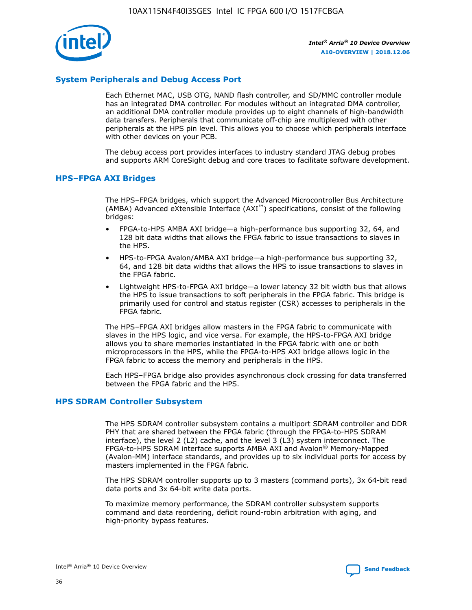

# **System Peripherals and Debug Access Port**

Each Ethernet MAC, USB OTG, NAND flash controller, and SD/MMC controller module has an integrated DMA controller. For modules without an integrated DMA controller, an additional DMA controller module provides up to eight channels of high-bandwidth data transfers. Peripherals that communicate off-chip are multiplexed with other peripherals at the HPS pin level. This allows you to choose which peripherals interface with other devices on your PCB.

The debug access port provides interfaces to industry standard JTAG debug probes and supports ARM CoreSight debug and core traces to facilitate software development.

## **HPS–FPGA AXI Bridges**

The HPS–FPGA bridges, which support the Advanced Microcontroller Bus Architecture (AMBA) Advanced eXtensible Interface (AXI™) specifications, consist of the following bridges:

- FPGA-to-HPS AMBA AXI bridge—a high-performance bus supporting 32, 64, and 128 bit data widths that allows the FPGA fabric to issue transactions to slaves in the HPS.
- HPS-to-FPGA Avalon/AMBA AXI bridge—a high-performance bus supporting 32, 64, and 128 bit data widths that allows the HPS to issue transactions to slaves in the FPGA fabric.
- Lightweight HPS-to-FPGA AXI bridge—a lower latency 32 bit width bus that allows the HPS to issue transactions to soft peripherals in the FPGA fabric. This bridge is primarily used for control and status register (CSR) accesses to peripherals in the FPGA fabric.

The HPS–FPGA AXI bridges allow masters in the FPGA fabric to communicate with slaves in the HPS logic, and vice versa. For example, the HPS-to-FPGA AXI bridge allows you to share memories instantiated in the FPGA fabric with one or both microprocessors in the HPS, while the FPGA-to-HPS AXI bridge allows logic in the FPGA fabric to access the memory and peripherals in the HPS.

Each HPS–FPGA bridge also provides asynchronous clock crossing for data transferred between the FPGA fabric and the HPS.

### **HPS SDRAM Controller Subsystem**

The HPS SDRAM controller subsystem contains a multiport SDRAM controller and DDR PHY that are shared between the FPGA fabric (through the FPGA-to-HPS SDRAM interface), the level 2 (L2) cache, and the level 3 (L3) system interconnect. The FPGA-to-HPS SDRAM interface supports AMBA AXI and Avalon® Memory-Mapped (Avalon-MM) interface standards, and provides up to six individual ports for access by masters implemented in the FPGA fabric.

The HPS SDRAM controller supports up to 3 masters (command ports), 3x 64-bit read data ports and 3x 64-bit write data ports.

To maximize memory performance, the SDRAM controller subsystem supports command and data reordering, deficit round-robin arbitration with aging, and high-priority bypass features.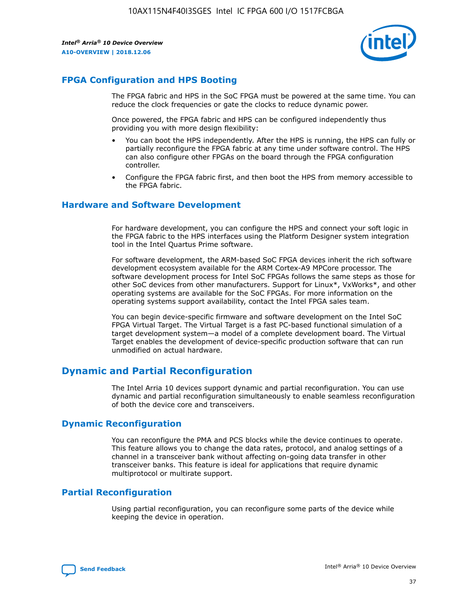

# **FPGA Configuration and HPS Booting**

The FPGA fabric and HPS in the SoC FPGA must be powered at the same time. You can reduce the clock frequencies or gate the clocks to reduce dynamic power.

Once powered, the FPGA fabric and HPS can be configured independently thus providing you with more design flexibility:

- You can boot the HPS independently. After the HPS is running, the HPS can fully or partially reconfigure the FPGA fabric at any time under software control. The HPS can also configure other FPGAs on the board through the FPGA configuration controller.
- Configure the FPGA fabric first, and then boot the HPS from memory accessible to the FPGA fabric.

## **Hardware and Software Development**

For hardware development, you can configure the HPS and connect your soft logic in the FPGA fabric to the HPS interfaces using the Platform Designer system integration tool in the Intel Quartus Prime software.

For software development, the ARM-based SoC FPGA devices inherit the rich software development ecosystem available for the ARM Cortex-A9 MPCore processor. The software development process for Intel SoC FPGAs follows the same steps as those for other SoC devices from other manufacturers. Support for Linux\*, VxWorks\*, and other operating systems are available for the SoC FPGAs. For more information on the operating systems support availability, contact the Intel FPGA sales team.

You can begin device-specific firmware and software development on the Intel SoC FPGA Virtual Target. The Virtual Target is a fast PC-based functional simulation of a target development system—a model of a complete development board. The Virtual Target enables the development of device-specific production software that can run unmodified on actual hardware.

# **Dynamic and Partial Reconfiguration**

The Intel Arria 10 devices support dynamic and partial reconfiguration. You can use dynamic and partial reconfiguration simultaneously to enable seamless reconfiguration of both the device core and transceivers.

# **Dynamic Reconfiguration**

You can reconfigure the PMA and PCS blocks while the device continues to operate. This feature allows you to change the data rates, protocol, and analog settings of a channel in a transceiver bank without affecting on-going data transfer in other transceiver banks. This feature is ideal for applications that require dynamic multiprotocol or multirate support.

# **Partial Reconfiguration**

Using partial reconfiguration, you can reconfigure some parts of the device while keeping the device in operation.

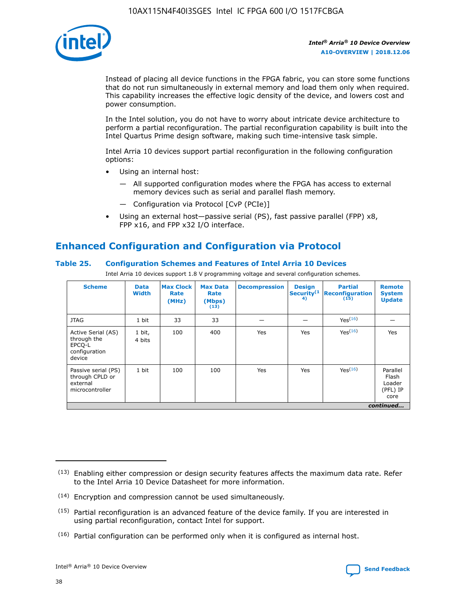

Instead of placing all device functions in the FPGA fabric, you can store some functions that do not run simultaneously in external memory and load them only when required. This capability increases the effective logic density of the device, and lowers cost and power consumption.

In the Intel solution, you do not have to worry about intricate device architecture to perform a partial reconfiguration. The partial reconfiguration capability is built into the Intel Quartus Prime design software, making such time-intensive task simple.

Intel Arria 10 devices support partial reconfiguration in the following configuration options:

- Using an internal host:
	- All supported configuration modes where the FPGA has access to external memory devices such as serial and parallel flash memory.
	- Configuration via Protocol [CvP (PCIe)]
- Using an external host—passive serial (PS), fast passive parallel (FPP) x8, FPP x16, and FPP x32 I/O interface.

# **Enhanced Configuration and Configuration via Protocol**

## **Table 25. Configuration Schemes and Features of Intel Arria 10 Devices**

Intel Arria 10 devices support 1.8 V programming voltage and several configuration schemes.

| <b>Scheme</b>                                                          | <b>Data</b><br><b>Width</b> | <b>Max Clock</b><br>Rate<br>(MHz) | <b>Max Data</b><br>Rate<br>(Mbps)<br>(13) | <b>Decompression</b> | <b>Design</b><br>Security <sup>(1</sup><br>4) | <b>Partial</b><br><b>Reconfiguration</b><br>(15) | <b>Remote</b><br><b>System</b><br><b>Update</b> |
|------------------------------------------------------------------------|-----------------------------|-----------------------------------|-------------------------------------------|----------------------|-----------------------------------------------|--------------------------------------------------|-------------------------------------------------|
| <b>JTAG</b>                                                            | 1 bit                       | 33                                | 33                                        |                      |                                               | Yes(16)                                          |                                                 |
| Active Serial (AS)<br>through the<br>EPCO-L<br>configuration<br>device | 1 bit,<br>4 bits            | 100                               | 400                                       | Yes                  | Yes                                           | $Y_{PS}(16)$                                     | Yes                                             |
| Passive serial (PS)<br>through CPLD or<br>external<br>microcontroller  | 1 bit                       | 100                               | 100                                       | Yes                  | Yes                                           | Yes(16)                                          | Parallel<br>Flash<br>Loader<br>(PFL) IP<br>core |
|                                                                        |                             |                                   |                                           |                      |                                               |                                                  | continued                                       |

<sup>(13)</sup> Enabling either compression or design security features affects the maximum data rate. Refer to the Intel Arria 10 Device Datasheet for more information.

<sup>(14)</sup> Encryption and compression cannot be used simultaneously.

 $<sup>(15)</sup>$  Partial reconfiguration is an advanced feature of the device family. If you are interested in</sup> using partial reconfiguration, contact Intel for support.

 $(16)$  Partial configuration can be performed only when it is configured as internal host.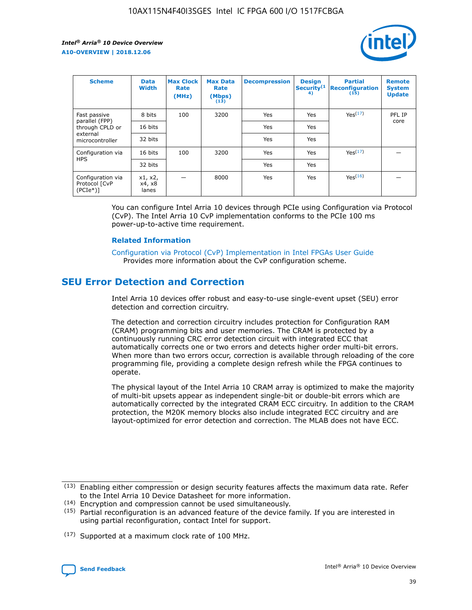

| <b>Scheme</b>                                    | <b>Data</b><br><b>Width</b> | <b>Max Clock</b><br>Rate<br>(MHz) | <b>Max Data</b><br>Rate<br>(Mbps)<br>(13) | <b>Decompression</b> | <b>Design</b><br>Security <sup>(1</sup><br>4) | <b>Partial</b><br><b>Reconfiguration</b><br>(15) | <b>Remote</b><br><b>System</b><br><b>Update</b> |
|--------------------------------------------------|-----------------------------|-----------------------------------|-------------------------------------------|----------------------|-----------------------------------------------|--------------------------------------------------|-------------------------------------------------|
| Fast passive                                     | 8 bits                      | 100                               | 3200                                      | Yes                  | Yes                                           | Yes(17)                                          | PFL IP                                          |
| parallel (FPP)<br>through CPLD or                | 16 bits                     |                                   |                                           | Yes                  | Yes                                           |                                                  | core                                            |
| external<br>microcontroller                      | 32 bits                     |                                   |                                           | Yes                  | Yes                                           |                                                  |                                                 |
| Configuration via                                | 16 bits                     | 100                               | 3200                                      | Yes                  | Yes                                           | Yes <sup>(17)</sup>                              |                                                 |
| <b>HPS</b>                                       | 32 bits                     |                                   |                                           | Yes                  | Yes                                           |                                                  |                                                 |
| Configuration via<br>Protocol [CvP<br>$(PCIe^*)$ | x1, x2,<br>x4, x8<br>lanes  |                                   | 8000                                      | Yes                  | Yes                                           | Yes(16)                                          |                                                 |

You can configure Intel Arria 10 devices through PCIe using Configuration via Protocol (CvP). The Intel Arria 10 CvP implementation conforms to the PCIe 100 ms power-up-to-active time requirement.

### **Related Information**

[Configuration via Protocol \(CvP\) Implementation in Intel FPGAs User Guide](https://www.intel.com/content/www/us/en/programmable/documentation/dsu1441819344145.html#dsu1442269728522) Provides more information about the CvP configuration scheme.

# **SEU Error Detection and Correction**

Intel Arria 10 devices offer robust and easy-to-use single-event upset (SEU) error detection and correction circuitry.

The detection and correction circuitry includes protection for Configuration RAM (CRAM) programming bits and user memories. The CRAM is protected by a continuously running CRC error detection circuit with integrated ECC that automatically corrects one or two errors and detects higher order multi-bit errors. When more than two errors occur, correction is available through reloading of the core programming file, providing a complete design refresh while the FPGA continues to operate.

The physical layout of the Intel Arria 10 CRAM array is optimized to make the majority of multi-bit upsets appear as independent single-bit or double-bit errors which are automatically corrected by the integrated CRAM ECC circuitry. In addition to the CRAM protection, the M20K memory blocks also include integrated ECC circuitry and are layout-optimized for error detection and correction. The MLAB does not have ECC.

(14) Encryption and compression cannot be used simultaneously.

<sup>(17)</sup> Supported at a maximum clock rate of 100 MHz.



 $(13)$  Enabling either compression or design security features affects the maximum data rate. Refer to the Intel Arria 10 Device Datasheet for more information.

 $(15)$  Partial reconfiguration is an advanced feature of the device family. If you are interested in using partial reconfiguration, contact Intel for support.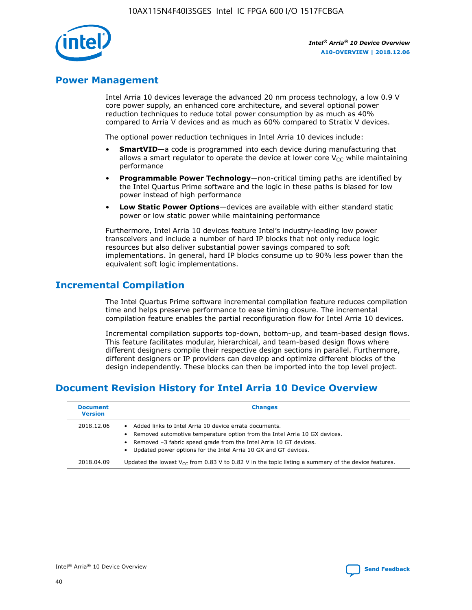

# **Power Management**

Intel Arria 10 devices leverage the advanced 20 nm process technology, a low 0.9 V core power supply, an enhanced core architecture, and several optional power reduction techniques to reduce total power consumption by as much as 40% compared to Arria V devices and as much as 60% compared to Stratix V devices.

The optional power reduction techniques in Intel Arria 10 devices include:

- **SmartVID**—a code is programmed into each device during manufacturing that allows a smart regulator to operate the device at lower core  $V_{CC}$  while maintaining performance
- **Programmable Power Technology**—non-critical timing paths are identified by the Intel Quartus Prime software and the logic in these paths is biased for low power instead of high performance
- **Low Static Power Options**—devices are available with either standard static power or low static power while maintaining performance

Furthermore, Intel Arria 10 devices feature Intel's industry-leading low power transceivers and include a number of hard IP blocks that not only reduce logic resources but also deliver substantial power savings compared to soft implementations. In general, hard IP blocks consume up to 90% less power than the equivalent soft logic implementations.

# **Incremental Compilation**

The Intel Quartus Prime software incremental compilation feature reduces compilation time and helps preserve performance to ease timing closure. The incremental compilation feature enables the partial reconfiguration flow for Intel Arria 10 devices.

Incremental compilation supports top-down, bottom-up, and team-based design flows. This feature facilitates modular, hierarchical, and team-based design flows where different designers compile their respective design sections in parallel. Furthermore, different designers or IP providers can develop and optimize different blocks of the design independently. These blocks can then be imported into the top level project.

# **Document Revision History for Intel Arria 10 Device Overview**

| <b>Document</b><br><b>Version</b> | <b>Changes</b>                                                                                                                                                                                                                                                              |
|-----------------------------------|-----------------------------------------------------------------------------------------------------------------------------------------------------------------------------------------------------------------------------------------------------------------------------|
| 2018.12.06                        | Added links to Intel Arria 10 device errata documents.<br>Removed automotive temperature option from the Intel Arria 10 GX devices.<br>Removed -3 fabric speed grade from the Intel Arria 10 GT devices.<br>Updated power options for the Intel Arria 10 GX and GT devices. |
| 2018.04.09                        | Updated the lowest $V_{CC}$ from 0.83 V to 0.82 V in the topic listing a summary of the device features.                                                                                                                                                                    |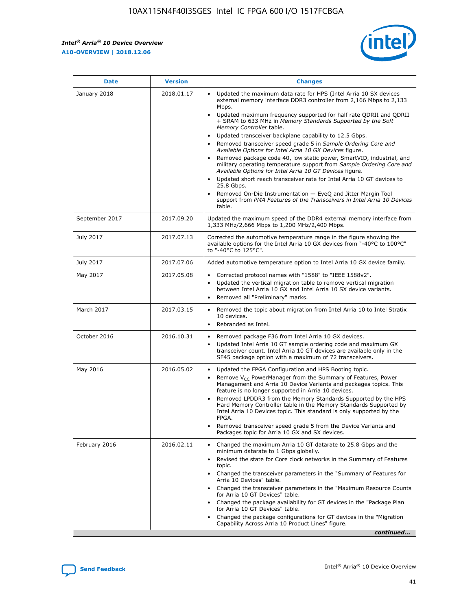*Intel® Arria® 10 Device Overview* **A10-OVERVIEW | 2018.12.06**



| <b>Date</b>    | <b>Version</b> | <b>Changes</b>                                                                                                                                                                                                                                                                                                                                                                                                                                                                                                                                                                                                                                                                                                                                                                                                                                                                                                                                                            |
|----------------|----------------|---------------------------------------------------------------------------------------------------------------------------------------------------------------------------------------------------------------------------------------------------------------------------------------------------------------------------------------------------------------------------------------------------------------------------------------------------------------------------------------------------------------------------------------------------------------------------------------------------------------------------------------------------------------------------------------------------------------------------------------------------------------------------------------------------------------------------------------------------------------------------------------------------------------------------------------------------------------------------|
| January 2018   | 2018.01.17     | Updated the maximum data rate for HPS (Intel Arria 10 SX devices<br>external memory interface DDR3 controller from 2,166 Mbps to 2,133<br>Mbps.<br>Updated maximum frequency supported for half rate QDRII and QDRII<br>+ SRAM to 633 MHz in Memory Standards Supported by the Soft<br>Memory Controller table.<br>Updated transceiver backplane capability to 12.5 Gbps.<br>$\bullet$<br>Removed transceiver speed grade 5 in Sample Ordering Core and<br>Available Options for Intel Arria 10 GX Devices figure.<br>Removed package code 40, low static power, SmartVID, industrial, and<br>military operating temperature support from Sample Ordering Core and<br>Available Options for Intel Arria 10 GT Devices figure.<br>Updated short reach transceiver rate for Intel Arria 10 GT devices to<br>25.8 Gbps.<br>Removed On-Die Instrumentation - EyeQ and Jitter Margin Tool<br>support from PMA Features of the Transceivers in Intel Arria 10 Devices<br>table. |
| September 2017 | 2017.09.20     | Updated the maximum speed of the DDR4 external memory interface from<br>1,333 MHz/2,666 Mbps to 1,200 MHz/2,400 Mbps.                                                                                                                                                                                                                                                                                                                                                                                                                                                                                                                                                                                                                                                                                                                                                                                                                                                     |
| July 2017      | 2017.07.13     | Corrected the automotive temperature range in the figure showing the<br>available options for the Intel Arria 10 GX devices from "-40°C to 100°C"<br>to "-40°C to 125°C".                                                                                                                                                                                                                                                                                                                                                                                                                                                                                                                                                                                                                                                                                                                                                                                                 |
| July 2017      | 2017.07.06     | Added automotive temperature option to Intel Arria 10 GX device family.                                                                                                                                                                                                                                                                                                                                                                                                                                                                                                                                                                                                                                                                                                                                                                                                                                                                                                   |
| May 2017       | 2017.05.08     | Corrected protocol names with "1588" to "IEEE 1588v2".<br>$\bullet$<br>Updated the vertical migration table to remove vertical migration<br>$\bullet$<br>between Intel Arria 10 GX and Intel Arria 10 SX device variants.<br>Removed all "Preliminary" marks.<br>$\bullet$                                                                                                                                                                                                                                                                                                                                                                                                                                                                                                                                                                                                                                                                                                |
| March 2017     | 2017.03.15     | Removed the topic about migration from Intel Arria 10 to Intel Stratix<br>10 devices.<br>Rebranded as Intel.<br>$\bullet$                                                                                                                                                                                                                                                                                                                                                                                                                                                                                                                                                                                                                                                                                                                                                                                                                                                 |
| October 2016   | 2016.10.31     | Removed package F36 from Intel Arria 10 GX devices.<br>Updated Intel Arria 10 GT sample ordering code and maximum GX<br>$\bullet$<br>transceiver count. Intel Arria 10 GT devices are available only in the<br>SF45 package option with a maximum of 72 transceivers.                                                                                                                                                                                                                                                                                                                                                                                                                                                                                                                                                                                                                                                                                                     |
| May 2016       | 2016.05.02     | Updated the FPGA Configuration and HPS Booting topic.<br>$\bullet$<br>Remove V <sub>CC</sub> PowerManager from the Summary of Features, Power<br>Management and Arria 10 Device Variants and packages topics. This<br>feature is no longer supported in Arria 10 devices.<br>Removed LPDDR3 from the Memory Standards Supported by the HPS<br>Hard Memory Controller table in the Memory Standards Supported by<br>Intel Arria 10 Devices topic. This standard is only supported by the<br>FPGA.<br>Removed transceiver speed grade 5 from the Device Variants and<br>Packages topic for Arria 10 GX and SX devices.                                                                                                                                                                                                                                                                                                                                                      |
| February 2016  | 2016.02.11     | Changed the maximum Arria 10 GT datarate to 25.8 Gbps and the<br>minimum datarate to 1 Gbps globally.<br>Revised the state for Core clock networks in the Summary of Features<br>$\bullet$<br>topic.<br>Changed the transceiver parameters in the "Summary of Features for<br>$\bullet$<br>Arria 10 Devices" table.<br>• Changed the transceiver parameters in the "Maximum Resource Counts<br>for Arria 10 GT Devices" table.<br>Changed the package availability for GT devices in the "Package Plan<br>for Arria 10 GT Devices" table.<br>Changed the package configurations for GT devices in the "Migration"<br>Capability Across Arria 10 Product Lines" figure.<br>continued                                                                                                                                                                                                                                                                                       |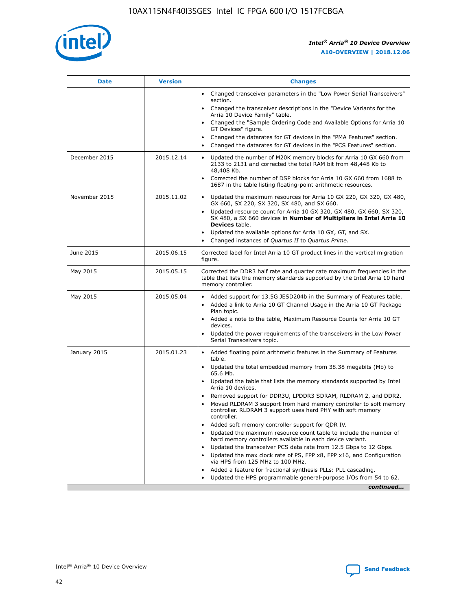

| <b>Date</b>   | <b>Version</b> | <b>Changes</b>                                                                                                                                                               |
|---------------|----------------|------------------------------------------------------------------------------------------------------------------------------------------------------------------------------|
|               |                | Changed transceiver parameters in the "Low Power Serial Transceivers"<br>$\bullet$<br>section.                                                                               |
|               |                | • Changed the transceiver descriptions in the "Device Variants for the<br>Arria 10 Device Family" table.                                                                     |
|               |                | • Changed the "Sample Ordering Code and Available Options for Arria 10<br>GT Devices" figure.                                                                                |
|               |                | Changed the datarates for GT devices in the "PMA Features" section.                                                                                                          |
|               |                | Changed the datarates for GT devices in the "PCS Features" section.<br>$\bullet$                                                                                             |
| December 2015 | 2015.12.14     | Updated the number of M20K memory blocks for Arria 10 GX 660 from<br>2133 to 2131 and corrected the total RAM bit from 48,448 Kb to<br>48,408 Kb.                            |
|               |                | Corrected the number of DSP blocks for Arria 10 GX 660 from 1688 to<br>$\bullet$<br>1687 in the table listing floating-point arithmetic resources.                           |
| November 2015 | 2015.11.02     | Updated the maximum resources for Arria 10 GX 220, GX 320, GX 480,<br>GX 660, SX 220, SX 320, SX 480, and SX 660.                                                            |
|               |                | Updated resource count for Arria 10 GX 320, GX 480, GX 660, SX 320,<br>SX 480, a SX 660 devices in Number of Multipliers in Intel Arria 10<br><b>Devices</b> table.          |
|               |                | Updated the available options for Arria 10 GX, GT, and SX.<br>$\bullet$                                                                                                      |
|               |                | Changed instances of Quartus II to Quartus Prime.<br>$\bullet$                                                                                                               |
| June 2015     | 2015.06.15     | Corrected label for Intel Arria 10 GT product lines in the vertical migration<br>figure.                                                                                     |
| May 2015      | 2015.05.15     | Corrected the DDR3 half rate and quarter rate maximum frequencies in the<br>table that lists the memory standards supported by the Intel Arria 10 hard<br>memory controller. |
| May 2015      | 2015.05.04     | • Added support for 13.5G JESD204b in the Summary of Features table.                                                                                                         |
|               |                | Added a link to Arria 10 GT Channel Usage in the Arria 10 GT Package<br>$\bullet$<br>Plan topic.                                                                             |
|               |                | • Added a note to the table, Maximum Resource Counts for Arria 10 GT<br>devices.                                                                                             |
|               |                | • Updated the power requirements of the transceivers in the Low Power<br>Serial Transceivers topic.                                                                          |
| January 2015  | 2015.01.23     | • Added floating point arithmetic features in the Summary of Features<br>table.                                                                                              |
|               |                | • Updated the total embedded memory from 38.38 megabits (Mb) to<br>65.6 Mb.                                                                                                  |
|               |                | • Updated the table that lists the memory standards supported by Intel<br>Arria 10 devices.                                                                                  |
|               |                | Removed support for DDR3U, LPDDR3 SDRAM, RLDRAM 2, and DDR2.                                                                                                                 |
|               |                | Moved RLDRAM 3 support from hard memory controller to soft memory<br>controller. RLDRAM 3 support uses hard PHY with soft memory<br>controller.                              |
|               |                | Added soft memory controller support for QDR IV.                                                                                                                             |
|               |                | Updated the maximum resource count table to include the number of<br>hard memory controllers available in each device variant.                                               |
|               |                | Updated the transceiver PCS data rate from 12.5 Gbps to 12 Gbps.                                                                                                             |
|               |                | Updated the max clock rate of PS, FPP x8, FPP x16, and Configuration<br>via HPS from 125 MHz to 100 MHz.                                                                     |
|               |                | Added a feature for fractional synthesis PLLs: PLL cascading.                                                                                                                |
|               |                | Updated the HPS programmable general-purpose I/Os from 54 to 62.<br>$\bullet$                                                                                                |
|               |                | continued                                                                                                                                                                    |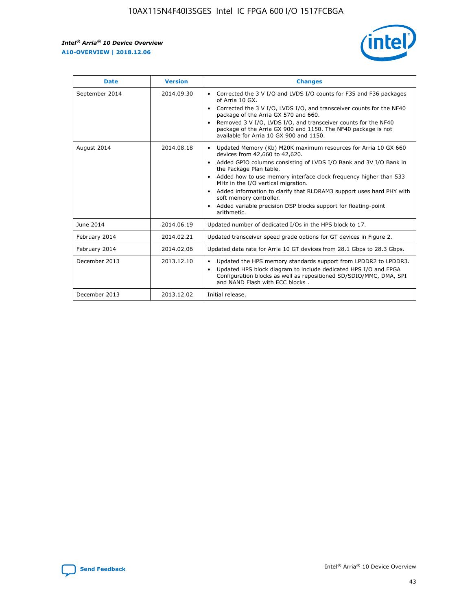r



| <b>Date</b>    | <b>Version</b> | <b>Changes</b>                                                                                                                                                                                                                                                                                                                                                                                                                                                                                                                                      |
|----------------|----------------|-----------------------------------------------------------------------------------------------------------------------------------------------------------------------------------------------------------------------------------------------------------------------------------------------------------------------------------------------------------------------------------------------------------------------------------------------------------------------------------------------------------------------------------------------------|
| September 2014 | 2014.09.30     | Corrected the 3 V I/O and LVDS I/O counts for F35 and F36 packages<br>$\bullet$<br>of Arria 10 GX.<br>Corrected the 3 V I/O, LVDS I/O, and transceiver counts for the NF40<br>$\bullet$<br>package of the Arria GX 570 and 660.<br>Removed 3 V I/O, LVDS I/O, and transceiver counts for the NF40<br>٠<br>package of the Arria GX 900 and 1150. The NF40 package is not<br>available for Arria 10 GX 900 and 1150.                                                                                                                                  |
| August 2014    | 2014.08.18     | Updated Memory (Kb) M20K maximum resources for Arria 10 GX 660<br>devices from 42,660 to 42,620.<br>Added GPIO columns consisting of LVDS I/O Bank and 3V I/O Bank in<br>$\bullet$<br>the Package Plan table.<br>Added how to use memory interface clock frequency higher than 533<br>$\bullet$<br>MHz in the I/O vertical migration.<br>Added information to clarify that RLDRAM3 support uses hard PHY with<br>$\bullet$<br>soft memory controller.<br>Added variable precision DSP blocks support for floating-point<br>$\bullet$<br>arithmetic. |
| June 2014      | 2014.06.19     | Updated number of dedicated I/Os in the HPS block to 17.                                                                                                                                                                                                                                                                                                                                                                                                                                                                                            |
| February 2014  | 2014.02.21     | Updated transceiver speed grade options for GT devices in Figure 2.                                                                                                                                                                                                                                                                                                                                                                                                                                                                                 |
| February 2014  | 2014.02.06     | Updated data rate for Arria 10 GT devices from 28.1 Gbps to 28.3 Gbps.                                                                                                                                                                                                                                                                                                                                                                                                                                                                              |
| December 2013  | 2013.12.10     | Updated the HPS memory standards support from LPDDR2 to LPDDR3.<br>Updated HPS block diagram to include dedicated HPS I/O and FPGA<br>$\bullet$<br>Configuration blocks as well as repositioned SD/SDIO/MMC, DMA, SPI<br>and NAND Flash with ECC blocks.                                                                                                                                                                                                                                                                                            |
| December 2013  | 2013.12.02     | Initial release.                                                                                                                                                                                                                                                                                                                                                                                                                                                                                                                                    |